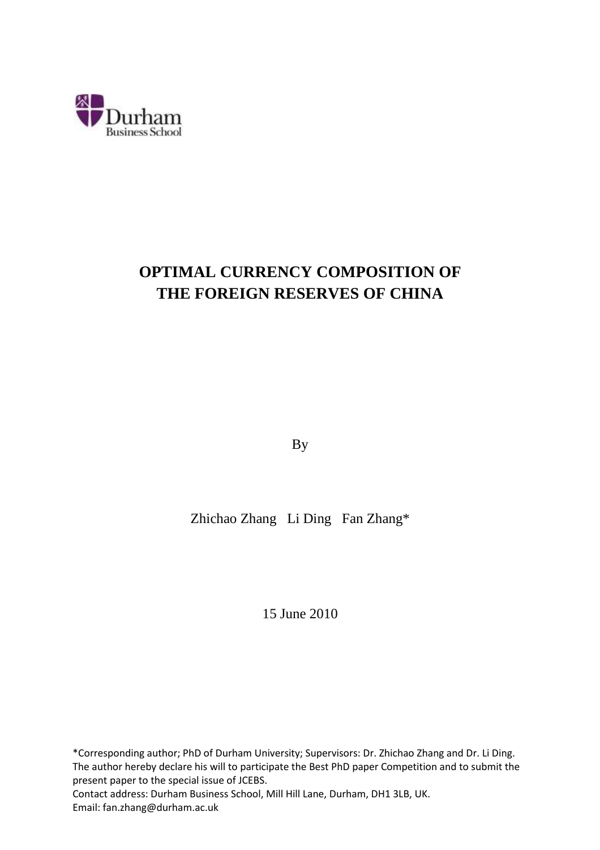

# **OPTIMAL CURRENCY COMPOSITION OF THE FOREIGN RESERVES OF CHINA**

By

Zhichao Zhang Li Ding Fan Zhang\*

15 June 2010

\*Corresponding author; PhD of Durham University; Supervisors: Dr. Zhichao Zhang and Dr. Li Ding. The author hereby declare his will to participate the Best PhD paper Competition and to submit the present paper to the special issue of JCEBS.

Contact address: Durham Business School, Mill Hill Lane, Durham, DH1 3LB, UK. Email: fan.zhang@durham.ac.uk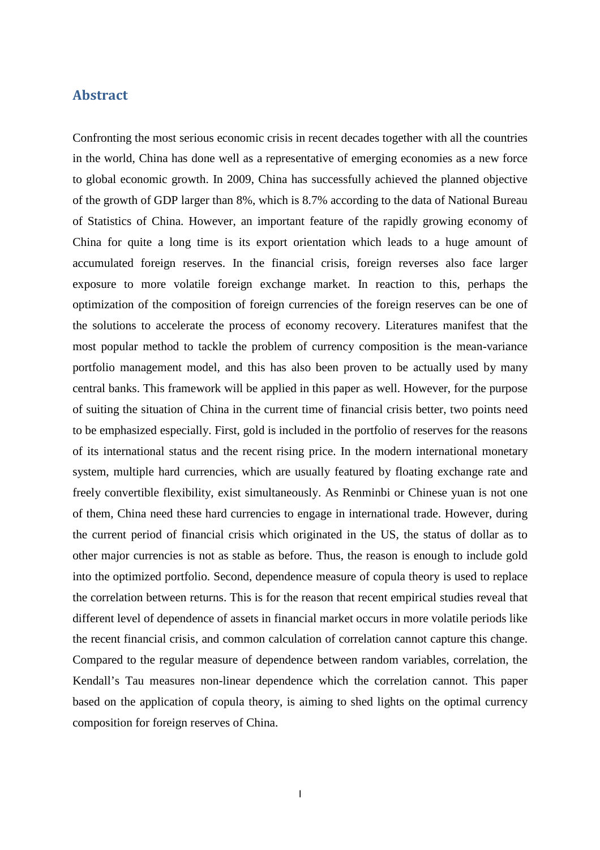## Abstract

Confronting the most serious economic crisis in recent decades together with all the countries in the world, China has done well as a representative of emerging economies as a new force to global economic growth. In 2009, China has successfully achieved the planned objective of the growth of GDP larger than 8%, which is 8.7% according to the data of National Bureau of Statistics of China. However, an important feature of the rapidly growing economy of China for quite a long time is its export orientation which leads to a huge amount of accumulated foreign reserves. In the financial crisis, foreign reverses also face larger exposure to more volatile foreign exchange market. In reaction to this, perhaps the optimization of the composition of foreign currencies of the foreign reserves can be one of the solutions to accelerate the process of economy recovery. Literatures manifest that the most popular method to tackle the problem of currency composition is the mean-variance portfolio management model, and this has also been proven to be actually used by many central banks. This framework will be applied in this paper as well. However, for the purpose of suiting the situation of China in the current time of financial crisis better, two points need to be emphasized especially. First, gold is included in the portfolio of reserves for the reasons of its international status and the recent rising price. In the modern international monetary system, multiple hard currencies, which are usually featured by floating exchange rate and freely convertible flexibility, exist simultaneously. As Renminbi or Chinese yuan is not one of them, China need these hard currencies to engage in international trade. However, during the current period of financial crisis which originated in the US, the status of dollar as to other major currencies is not as stable as before. Thus, the reason is enough to include gold into the optimized portfolio. Second, dependence measure of copula theory is used to replace the correlation between returns. This is for the reason that recent empirical studies reveal that different level of dependence of assets in financial market occurs in more volatile periods like the recent financial crisis, and common calculation of correlation cannot capture this change. Compared to the regular measure of dependence between random variables, correlation, the Kendall's Tau measures non-linear dependence which the correlation cannot. This paper based on the application of copula theory, is aiming to shed lights on the optimal currency composition for foreign reserves of China.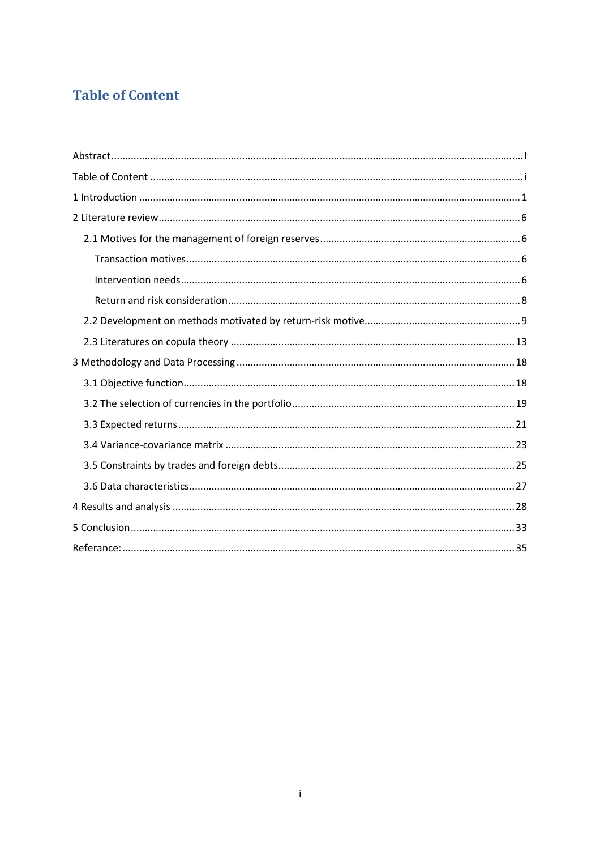## **Table of Content**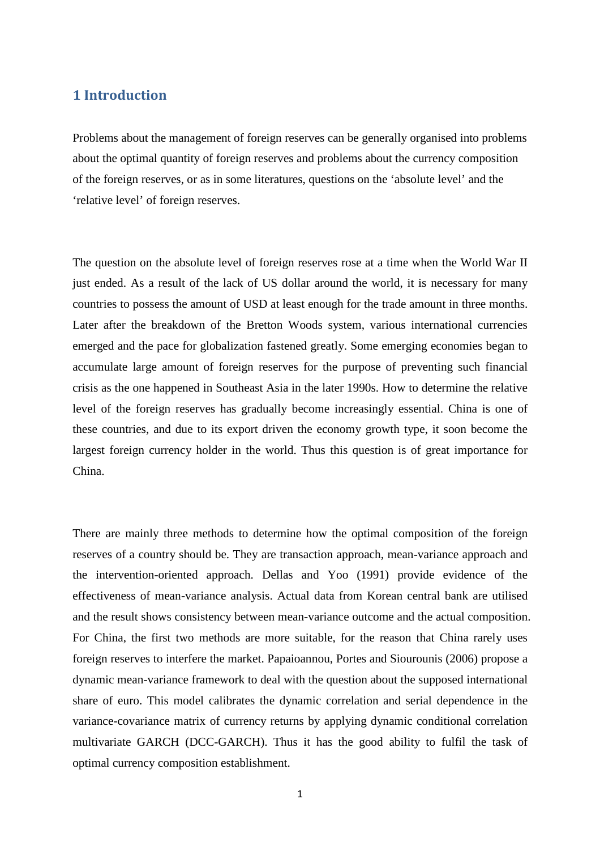## 1 Introduction

Problems about the management of foreign reserves can be generally organised into problems about the optimal quantity of foreign reserves and problems about the currency composition of the foreign reserves, or as in some literatures, questions on the 'absolute level' and the 'relative level' of foreign reserves.

The question on the absolute level of foreign reserves rose at a time when the World War II just ended. As a result of the lack of US dollar around the world, it is necessary for many countries to possess the amount of USD at least enough for the trade amount in three months. Later after the breakdown of the Bretton Woods system, various international currencies emerged and the pace for globalization fastened greatly. Some emerging economies began to accumulate large amount of foreign reserves for the purpose of preventing such financial crisis as the one happened in Southeast Asia in the later 1990s. How to determine the relative level of the foreign reserves has gradually become increasingly essential. China is one of these countries, and due to its export driven the economy growth type, it soon become the largest foreign currency holder in the world. Thus this question is of great importance for China.

There are mainly three methods to determine how the optimal composition of the foreign reserves of a country should be. They are transaction approach, mean-variance approach and the intervention-oriented approach. Dellas and Yoo (1991) provide evidence of the effectiveness of mean-variance analysis. Actual data from Korean central bank are utilised and the result shows consistency between mean-variance outcome and the actual composition. For China, the first two methods are more suitable, for the reason that China rarely uses foreign reserves to interfere the market. Papaioannou, Portes and Siourounis (2006) propose a dynamic mean-variance framework to deal with the question about the supposed international share of euro. This model calibrates the dynamic correlation and serial dependence in the variance-covariance matrix of currency returns by applying dynamic conditional correlation multivariate GARCH (DCC-GARCH). Thus it has the good ability to fulfil the task of optimal currency composition establishment.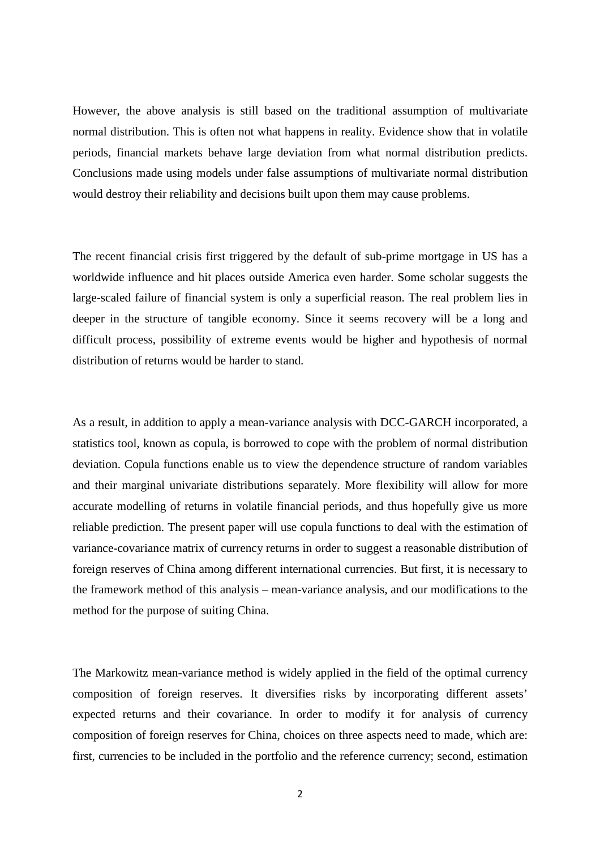However, the above analysis is still based on the traditional assumption of multivariate normal distribution. This is often not what happens in reality. Evidence show that in volatile periods, financial markets behave large deviation from what normal distribution predicts. Conclusions made using models under false assumptions of multivariate normal distribution would destroy their reliability and decisions built upon them may cause problems.

The recent financial crisis first triggered by the default of sub-prime mortgage in US has a worldwide influence and hit places outside America even harder. Some scholar suggests the large-scaled failure of financial system is only a superficial reason. The real problem lies in deeper in the structure of tangible economy. Since it seems recovery will be a long and difficult process, possibility of extreme events would be higher and hypothesis of normal distribution of returns would be harder to stand.

As a result, in addition to apply a mean-variance analysis with DCC-GARCH incorporated, a statistics tool, known as copula, is borrowed to cope with the problem of normal distribution deviation. Copula functions enable us to view the dependence structure of random variables and their marginal univariate distributions separately. More flexibility will allow for more accurate modelling of returns in volatile financial periods, and thus hopefully give us more reliable prediction. The present paper will use copula functions to deal with the estimation of variance-covariance matrix of currency returns in order to suggest a reasonable distribution of foreign reserves of China among different international currencies. But first, it is necessary to the framework method of this analysis – mean-variance analysis, and our modifications to the method for the purpose of suiting China.

The Markowitz mean-variance method is widely applied in the field of the optimal currency composition of foreign reserves. It diversifies risks by incorporating different assets' expected returns and their covariance. In order to modify it for analysis of currency composition of foreign reserves for China, choices on three aspects need to made, which are: first, currencies to be included in the portfolio and the reference currency; second, estimation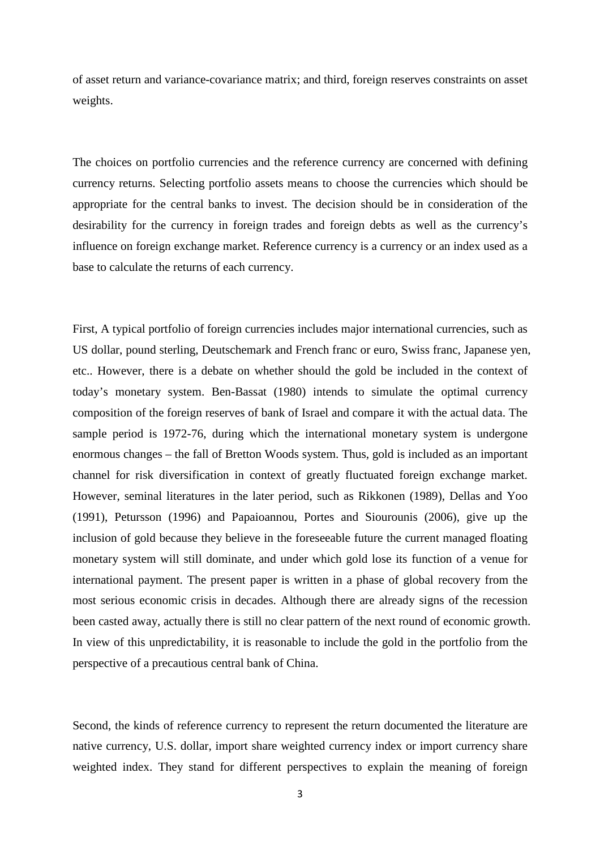of asset return and variance-covariance matrix; and third, foreign reserves constraints on asset weights.

The choices on portfolio currencies and the reference currency are concerned with defining currency returns. Selecting portfolio assets means to choose the currencies which should be appropriate for the central banks to invest. The decision should be in consideration of the desirability for the currency in foreign trades and foreign debts as well as the currency's influence on foreign exchange market. Reference currency is a currency or an index used as a base to calculate the returns of each currency.

First, A typical portfolio of foreign currencies includes major international currencies, such as US dollar, pound sterling, Deutschemark and French franc or euro, Swiss franc, Japanese yen, etc.. However, there is a debate on whether should the gold be included in the context of today's monetary system. Ben-Bassat (1980) intends to simulate the optimal currency composition of the foreign reserves of bank of Israel and compare it with the actual data. The sample period is 1972-76, during which the international monetary system is undergone enormous changes – the fall of Bretton Woods system. Thus, gold is included as an important channel for risk diversification in context of greatly fluctuated foreign exchange market. However, seminal literatures in the later period, such as Rikkonen (1989), Dellas and Yoo (1991), Petursson (1996) and Papaioannou, Portes and Siourounis (2006), give up the inclusion of gold because they believe in the foreseeable future the current managed floating monetary system will still dominate, and under which gold lose its function of a venue for international payment. The present paper is written in a phase of global recovery from the most serious economic crisis in decades. Although there are already signs of the recession been casted away, actually there is still no clear pattern of the next round of economic growth. In view of this unpredictability, it is reasonable to include the gold in the portfolio from the perspective of a precautious central bank of China.

Second, the kinds of reference currency to represent the return documented the literature are native currency, U.S. dollar, import share weighted currency index or import currency share weighted index. They stand for different perspectives to explain the meaning of foreign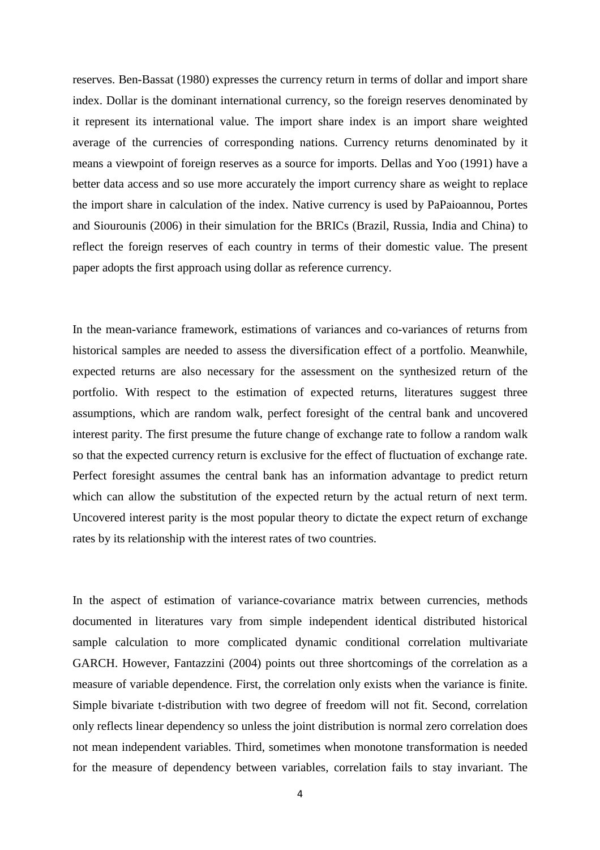reserves. Ben-Bassat (1980) expresses the currency return in terms of dollar and import share index. Dollar is the dominant international currency, so the foreign reserves denominated by it represent its international value. The import share index is an import share weighted average of the currencies of corresponding nations. Currency returns denominated by it means a viewpoint of foreign reserves as a source for imports. Dellas and Yoo (1991) have a better data access and so use more accurately the import currency share as weight to replace the import share in calculation of the index. Native currency is used by PaPaioannou, Portes and Siourounis (2006) in their simulation for the BRICs (Brazil, Russia, India and China) to reflect the foreign reserves of each country in terms of their domestic value. The present paper adopts the first approach using dollar as reference currency.

In the mean-variance framework, estimations of variances and co-variances of returns from historical samples are needed to assess the diversification effect of a portfolio. Meanwhile, expected returns are also necessary for the assessment on the synthesized return of the portfolio. With respect to the estimation of expected returns, literatures suggest three assumptions, which are random walk, perfect foresight of the central bank and uncovered interest parity. The first presume the future change of exchange rate to follow a random walk so that the expected currency return is exclusive for the effect of fluctuation of exchange rate. Perfect foresight assumes the central bank has an information advantage to predict return which can allow the substitution of the expected return by the actual return of next term. Uncovered interest parity is the most popular theory to dictate the expect return of exchange rates by its relationship with the interest rates of two countries.

In the aspect of estimation of variance-covariance matrix between currencies, methods documented in literatures vary from simple independent identical distributed historical sample calculation to more complicated dynamic conditional correlation multivariate GARCH. However, Fantazzini (2004) points out three shortcomings of the correlation as a measure of variable dependence. First, the correlation only exists when the variance is finite. Simple bivariate t-distribution with two degree of freedom will not fit. Second, correlation only reflects linear dependency so unless the joint distribution is normal zero correlation does not mean independent variables. Third, sometimes when monotone transformation is needed for the measure of dependency between variables, correlation fails to stay invariant. The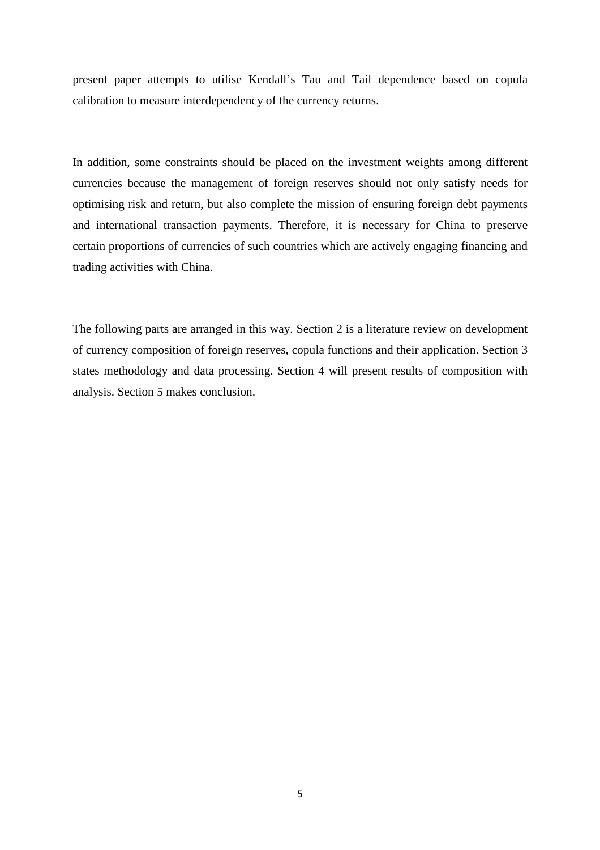present paper attempts to utilise Kendall's Tau and Tail dependence based on copula calibration to measure interdependency of the currency returns.

In addition, some constraints should be placed on the investment weights among different currencies because the management of foreign reserves should not only satisfy needs for optimising risk and return, but also complete the mission of ensuring foreign debt payments and international transaction payments. Therefore, it is necessary for China to preserve certain proportions of currencies of such countries which are actively engaging financing and trading activities with China.

The following parts are arranged in this way. Section 2 is a literature review on development of currency composition of foreign reserves, copula functions and their application. Section 3 states methodology and data processing. Section 4 will present results of composition with analysis. Section 5 makes conclusion.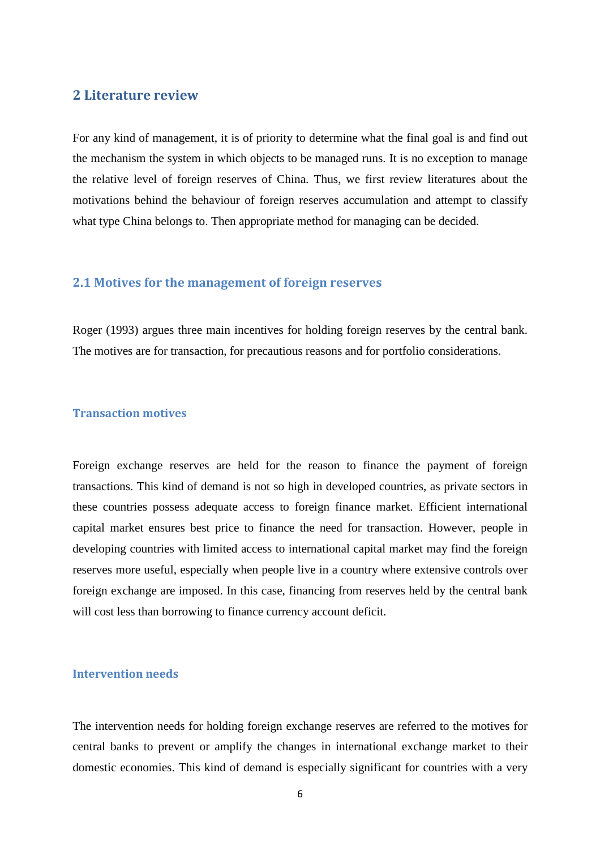## 2 Literature review

For any kind of management, it is of priority to determine what the final goal is and find out the mechanism the system in which objects to be managed runs. It is no exception to manage the relative level of foreign reserves of China. Thus, we first review literatures about the motivations behind the behaviour of foreign reserves accumulation and attempt to classify what type China belongs to. Then appropriate method for managing can be decided.

## 2.1 Motives for the management of foreign reserves

Roger (1993) argues three main incentives for holding foreign reserves by the central bank. The motives are for transaction, for precautious reasons and for portfolio considerations.

#### Transaction motives

Foreign exchange reserves are held for the reason to finance the payment of foreign transactions. This kind of demand is not so high in developed countries, as private sectors in these countries possess adequate access to foreign finance market. Efficient international capital market ensures best price to finance the need for transaction. However, people in developing countries with limited access to international capital market may find the foreign reserves more useful, especially when people live in a country where extensive controls over foreign exchange are imposed. In this case, financing from reserves held by the central bank will cost less than borrowing to finance currency account deficit.

#### Intervention needs

The intervention needs for holding foreign exchange reserves are referred to the motives for central banks to prevent or amplify the changes in international exchange market to their domestic economies. This kind of demand is especially significant for countries with a very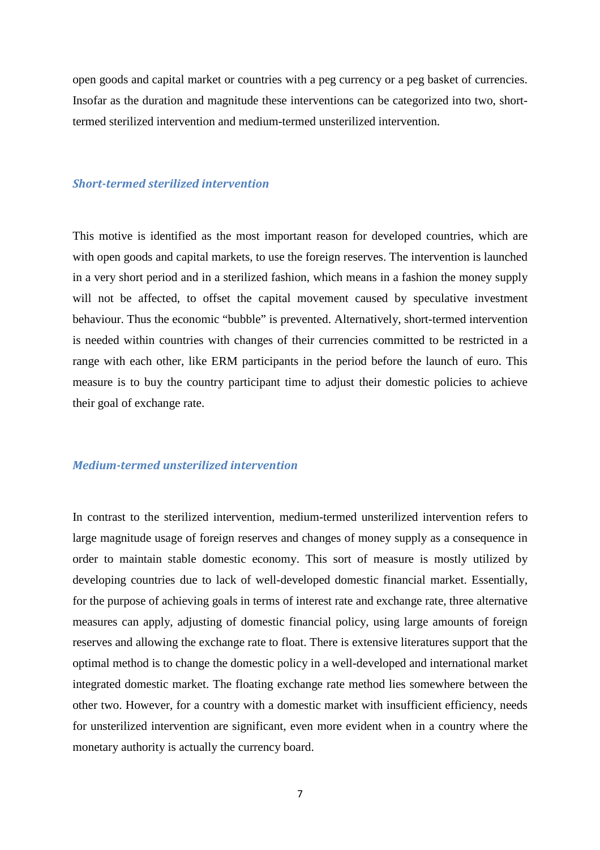open goods and capital market or countries with a peg currency or a peg basket of currencies. Insofar as the duration and magnitude these interventions can be categorized into two, shorttermed sterilized intervention and medium-termed unsterilized intervention.

#### Short-termed sterilized intervention

This motive is identified as the most important reason for developed countries, which are with open goods and capital markets, to use the foreign reserves. The intervention is launched in a very short period and in a sterilized fashion, which means in a fashion the money supply will not be affected, to offset the capital movement caused by speculative investment behaviour. Thus the economic "bubble" is prevented. Alternatively, short-termed intervention is needed within countries with changes of their currencies committed to be restricted in a range with each other, like ERM participants in the period before the launch of euro. This measure is to buy the country participant time to adjust their domestic policies to achieve their goal of exchange rate.

#### Medium-termed unsterilized intervention

In contrast to the sterilized intervention, medium-termed unsterilized intervention refers to large magnitude usage of foreign reserves and changes of money supply as a consequence in order to maintain stable domestic economy. This sort of measure is mostly utilized by developing countries due to lack of well-developed domestic financial market. Essentially, for the purpose of achieving goals in terms of interest rate and exchange rate, three alternative measures can apply, adjusting of domestic financial policy, using large amounts of foreign reserves and allowing the exchange rate to float. There is extensive literatures support that the optimal method is to change the domestic policy in a well-developed and international market integrated domestic market. The floating exchange rate method lies somewhere between the other two. However, for a country with a domestic market with insufficient efficiency, needs for unsterilized intervention are significant, even more evident when in a country where the monetary authority is actually the currency board.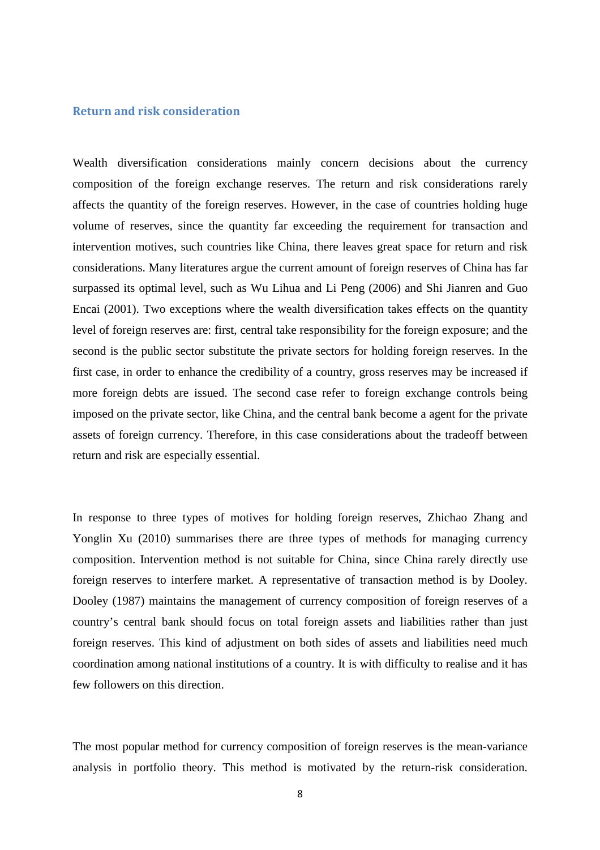#### Return and risk consideration

Wealth diversification considerations mainly concern decisions about the currency composition of the foreign exchange reserves. The return and risk considerations rarely affects the quantity of the foreign reserves. However, in the case of countries holding huge volume of reserves, since the quantity far exceeding the requirement for transaction and intervention motives, such countries like China, there leaves great space for return and risk considerations. Many literatures argue the current amount of foreign reserves of China has far surpassed its optimal level, such as Wu Lihua and Li Peng (2006) and Shi Jianren and Guo Encai (2001). Two exceptions where the wealth diversification takes effects on the quantity level of foreign reserves are: first, central take responsibility for the foreign exposure; and the second is the public sector substitute the private sectors for holding foreign reserves. In the first case, in order to enhance the credibility of a country, gross reserves may be increased if more foreign debts are issued. The second case refer to foreign exchange controls being imposed on the private sector, like China, and the central bank become a agent for the private assets of foreign currency. Therefore, in this case considerations about the tradeoff between return and risk are especially essential.

In response to three types of motives for holding foreign reserves, Zhichao Zhang and Yonglin Xu (2010) summarises there are three types of methods for managing currency composition. Intervention method is not suitable for China, since China rarely directly use foreign reserves to interfere market. A representative of transaction method is by Dooley. Dooley (1987) maintains the management of currency composition of foreign reserves of a country's central bank should focus on total foreign assets and liabilities rather than just foreign reserves. This kind of adjustment on both sides of assets and liabilities need much coordination among national institutions of a country. It is with difficulty to realise and it has few followers on this direction.

The most popular method for currency composition of foreign reserves is the mean-variance analysis in portfolio theory. This method is motivated by the return-risk consideration.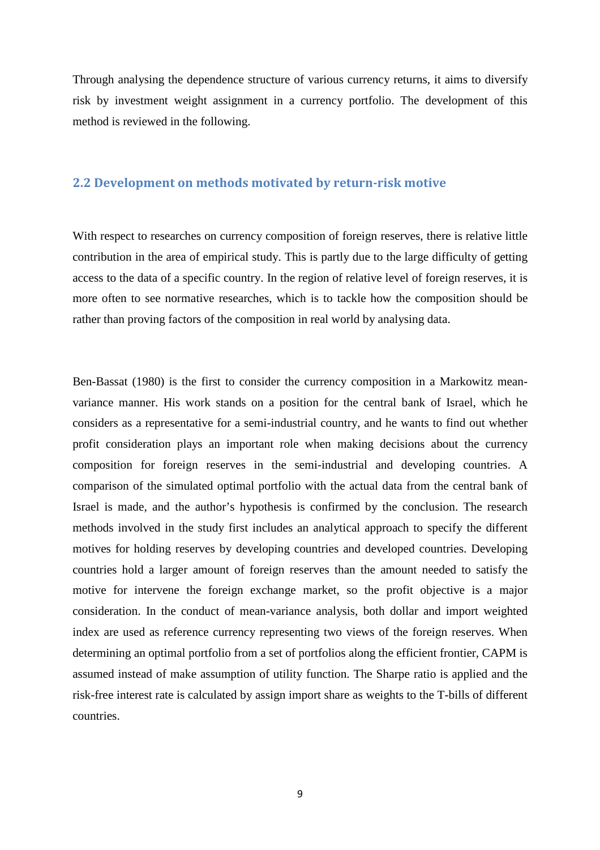Through analysing the dependence structure of various currency returns, it aims to diversify risk by investment weight assignment in a currency portfolio. The development of this method is reviewed in the following.

## 2.2 Development on methods motivated by return-risk motive

With respect to researches on currency composition of foreign reserves, there is relative little contribution in the area of empirical study. This is partly due to the large difficulty of getting access to the data of a specific country. In the region of relative level of foreign reserves, it is more often to see normative researches, which is to tackle how the composition should be rather than proving factors of the composition in real world by analysing data.

Ben-Bassat (1980) is the first to consider the currency composition in a Markowitz meanvariance manner. His work stands on a position for the central bank of Israel, which he considers as a representative for a semi-industrial country, and he wants to find out whether profit consideration plays an important role when making decisions about the currency composition for foreign reserves in the semi-industrial and developing countries. A comparison of the simulated optimal portfolio with the actual data from the central bank of Israel is made, and the author's hypothesis is confirmed by the conclusion. The research methods involved in the study first includes an analytical approach to specify the different motives for holding reserves by developing countries and developed countries. Developing countries hold a larger amount of foreign reserves than the amount needed to satisfy the motive for intervene the foreign exchange market, so the profit objective is a major consideration. In the conduct of mean-variance analysis, both dollar and import weighted index are used as reference currency representing two views of the foreign reserves. When determining an optimal portfolio from a set of portfolios along the efficient frontier, CAPM is assumed instead of make assumption of utility function. The Sharpe ratio is applied and the risk-free interest rate is calculated by assign import share as weights to the T-bills of different countries.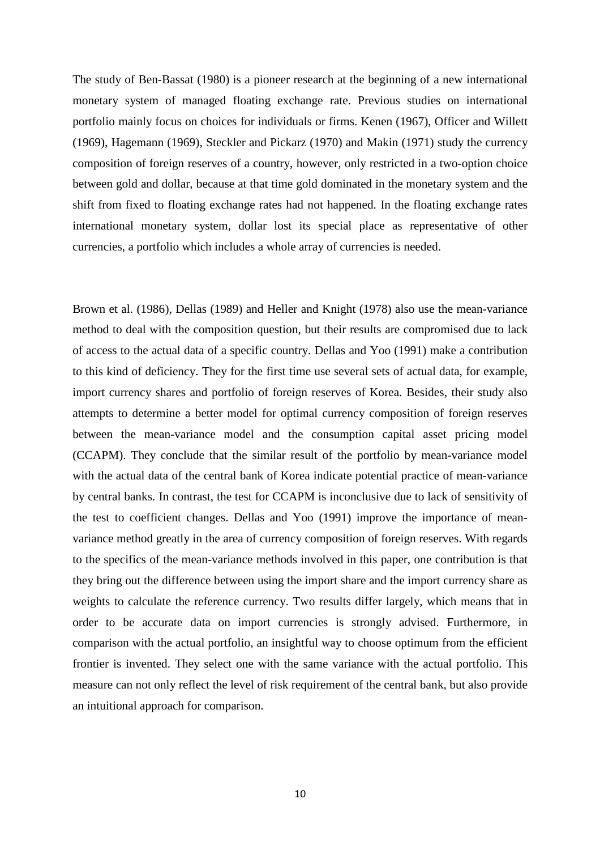The study of Ben-Bassat (1980) is a pioneer research at the beginning of a new international monetary system of managed floating exchange rate. Previous studies on international portfolio mainly focus on choices for individuals or firms. Kenen (1967), Officer and Willett (1969), Hagemann (1969), Steckler and Pickarz (1970) and Makin (1971) study the currency composition of foreign reserves of a country, however, only restricted in a two-option choice between gold and dollar, because at that time gold dominated in the monetary system and the shift from fixed to floating exchange rates had not happened. In the floating exchange rates international monetary system, dollar lost its special place as representative of other currencies, a portfolio which includes a whole array of currencies is needed.

Brown et al. (1986), Dellas (1989) and Heller and Knight (1978) also use the mean-variance method to deal with the composition question, but their results are compromised due to lack of access to the actual data of a specific country. Dellas and Yoo (1991) make a contribution to this kind of deficiency. They for the first time use several sets of actual data, for example, import currency shares and portfolio of foreign reserves of Korea. Besides, their study also attempts to determine a better model for optimal currency composition of foreign reserves between the mean-variance model and the consumption capital asset pricing model (CCAPM). They conclude that the similar result of the portfolio by mean-variance model with the actual data of the central bank of Korea indicate potential practice of mean-variance by central banks. In contrast, the test for CCAPM is inconclusive due to lack of sensitivity of the test to coefficient changes. Dellas and Yoo (1991) improve the importance of meanvariance method greatly in the area of currency composition of foreign reserves. With regards to the specifics of the mean-variance methods involved in this paper, one contribution is that they bring out the difference between using the import share and the import currency share as weights to calculate the reference currency. Two results differ largely, which means that in order to be accurate data on import currencies is strongly advised. Furthermore, in comparison with the actual portfolio, an insightful way to choose optimum from the efficient frontier is invented. They select one with the same variance with the actual portfolio. This measure can not only reflect the level of risk requirement of the central bank, but also provide an intuitional approach for comparison.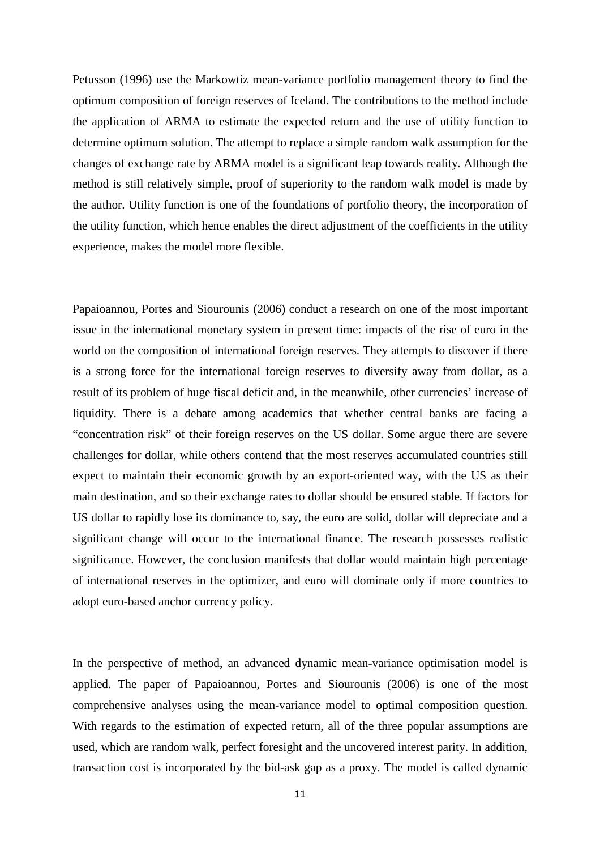Petusson (1996) use the Markowtiz mean-variance portfolio management theory to find the optimum composition of foreign reserves of Iceland. The contributions to the method include the application of ARMA to estimate the expected return and the use of utility function to determine optimum solution. The attempt to replace a simple random walk assumption for the changes of exchange rate by ARMA model is a significant leap towards reality. Although the method is still relatively simple, proof of superiority to the random walk model is made by the author. Utility function is one of the foundations of portfolio theory, the incorporation of the utility function, which hence enables the direct adjustment of the coefficients in the utility experience, makes the model more flexible.

Papaioannou, Portes and Siourounis (2006) conduct a research on one of the most important issue in the international monetary system in present time: impacts of the rise of euro in the world on the composition of international foreign reserves. They attempts to discover if there is a strong force for the international foreign reserves to diversify away from dollar, as a result of its problem of huge fiscal deficit and, in the meanwhile, other currencies' increase of liquidity. There is a debate among academics that whether central banks are facing a "concentration risk" of their foreign reserves on the US dollar. Some argue there are severe challenges for dollar, while others contend that the most reserves accumulated countries still expect to maintain their economic growth by an export-oriented way, with the US as their main destination, and so their exchange rates to dollar should be ensured stable. If factors for US dollar to rapidly lose its dominance to, say, the euro are solid, dollar will depreciate and a significant change will occur to the international finance. The research possesses realistic significance. However, the conclusion manifests that dollar would maintain high percentage of international reserves in the optimizer, and euro will dominate only if more countries to adopt euro-based anchor currency policy.

In the perspective of method, an advanced dynamic mean-variance optimisation model is applied. The paper of Papaioannou, Portes and Siourounis (2006) is one of the most comprehensive analyses using the mean-variance model to optimal composition question. With regards to the estimation of expected return, all of the three popular assumptions are used, which are random walk, perfect foresight and the uncovered interest parity. In addition, transaction cost is incorporated by the bid-ask gap as a proxy. The model is called dynamic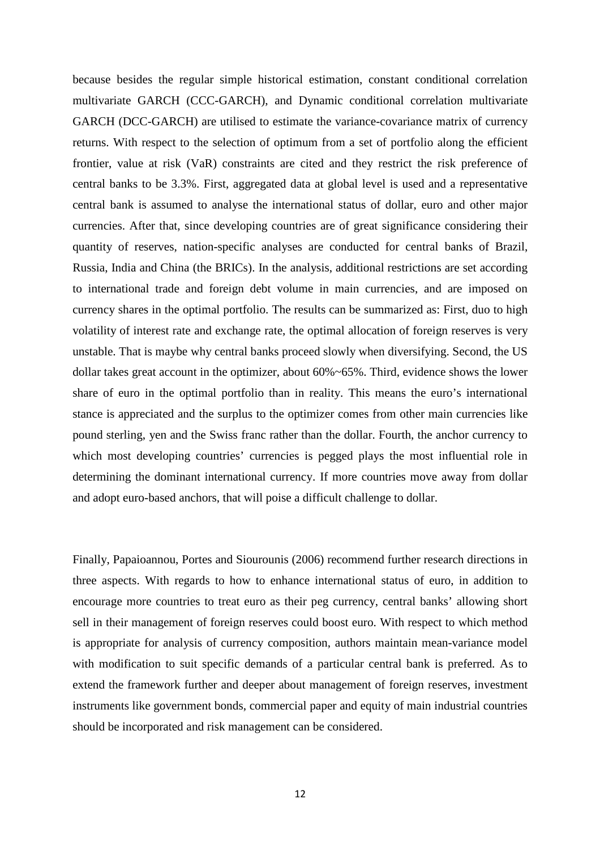because besides the regular simple historical estimation, constant conditional correlation multivariate GARCH (CCC-GARCH), and Dynamic conditional correlation multivariate GARCH (DCC-GARCH) are utilised to estimate the variance-covariance matrix of currency returns. With respect to the selection of optimum from a set of portfolio along the efficient frontier, value at risk (VaR) constraints are cited and they restrict the risk preference of central banks to be 3.3%. First, aggregated data at global level is used and a representative central bank is assumed to analyse the international status of dollar, euro and other major currencies. After that, since developing countries are of great significance considering their quantity of reserves, nation-specific analyses are conducted for central banks of Brazil, Russia, India and China (the BRICs). In the analysis, additional restrictions are set according to international trade and foreign debt volume in main currencies, and are imposed on currency shares in the optimal portfolio. The results can be summarized as: First, duo to high volatility of interest rate and exchange rate, the optimal allocation of foreign reserves is very unstable. That is maybe why central banks proceed slowly when diversifying. Second, the US dollar takes great account in the optimizer, about 60%~65%. Third, evidence shows the lower share of euro in the optimal portfolio than in reality. This means the euro's international stance is appreciated and the surplus to the optimizer comes from other main currencies like pound sterling, yen and the Swiss franc rather than the dollar. Fourth, the anchor currency to which most developing countries' currencies is pegged plays the most influential role in determining the dominant international currency. If more countries move away from dollar and adopt euro-based anchors, that will poise a difficult challenge to dollar.

Finally, Papaioannou, Portes and Siourounis (2006) recommend further research directions in three aspects. With regards to how to enhance international status of euro, in addition to encourage more countries to treat euro as their peg currency, central banks' allowing short sell in their management of foreign reserves could boost euro. With respect to which method is appropriate for analysis of currency composition, authors maintain mean-variance model with modification to suit specific demands of a particular central bank is preferred. As to extend the framework further and deeper about management of foreign reserves, investment instruments like government bonds, commercial paper and equity of main industrial countries should be incorporated and risk management can be considered.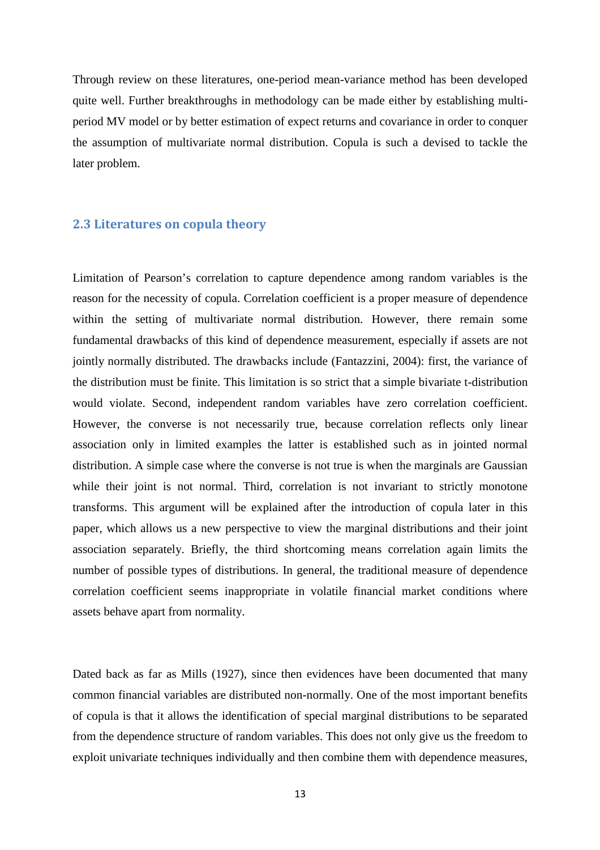Through review on these literatures, one-period mean-variance method has been developed quite well. Further breakthroughs in methodology can be made either by establishing multiperiod MV model or by better estimation of expect returns and covariance in order to conquer the assumption of multivariate normal distribution. Copula is such a devised to tackle the later problem.

#### 2.3 Literatures on copula theory

Limitation of Pearson's correlation to capture dependence among random variables is the reason for the necessity of copula. Correlation coefficient is a proper measure of dependence within the setting of multivariate normal distribution. However, there remain some fundamental drawbacks of this kind of dependence measurement, especially if assets are not jointly normally distributed. The drawbacks include (Fantazzini, 2004): first, the variance of the distribution must be finite. This limitation is so strict that a simple bivariate t-distribution would violate. Second, independent random variables have zero correlation coefficient. However, the converse is not necessarily true, because correlation reflects only linear association only in limited examples the latter is established such as in jointed normal distribution. A simple case where the converse is not true is when the marginals are Gaussian while their joint is not normal. Third, correlation is not invariant to strictly monotone transforms. This argument will be explained after the introduction of copula later in this paper, which allows us a new perspective to view the marginal distributions and their joint association separately. Briefly, the third shortcoming means correlation again limits the number of possible types of distributions. In general, the traditional measure of dependence correlation coefficient seems inappropriate in volatile financial market conditions where assets behave apart from normality.

Dated back as far as Mills (1927), since then evidences have been documented that many common financial variables are distributed non-normally. One of the most important benefits of copula is that it allows the identification of special marginal distributions to be separated from the dependence structure of random variables. This does not only give us the freedom to exploit univariate techniques individually and then combine them with dependence measures,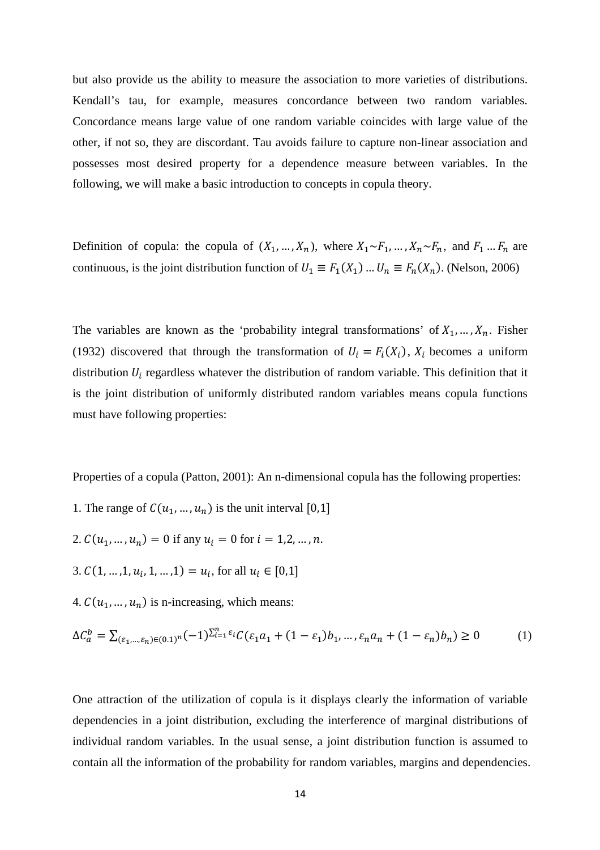but also provide us the ability to measure the association to more varieties of distributions. Kendall's tau, for example, measures concordance between two random variables. Concordance means large value of one random variable coincides with large value of the other, if not so, they are discordant. Tau avoids failure to capture non-linear association and possesses most desired property for a dependence measure between variables. In the following, we will make a basic introduction to concepts in copula theory.

Definition of copula: the copula of  $(X_1, ..., X_n)$ , where  $X_1 \sim F_1, ..., X_n \sim F_n$ , and  $F_1 ... F_n$  are continuous, is the joint distribution function of  $U_1 \equiv F_1(X_1) \dots U_n \equiv F_n(X_n)$ . (Nelson, 2006)

The variables are known as the 'probability integral transformations' of  $X_1, \ldots, X_n$ . Fisher (1932) discovered that through the transformation of  $U_i = F_i(X_i)$ ,  $X_i$  becomes a uniform distribution  $U_i$  regardless whatever the distribution of random variable. This definition that it is the joint distribution of uniformly distributed random variables means copula functions must have following properties:

Properties of a copula (Patton, 2001): An n-dimensional copula has the following properties:

- 1. The range of  $C(u_1, ..., u_n)$  is the unit interval [0,1]
- 2.  $C(u_1, ..., u_n) = 0$  if any  $u_i = 0$  for  $i = 1, 2, ..., n$ .
- 3.  $C(1, ..., 1, u_i, 1, ..., 1) = u_i$ , for all  $u_i \in [0, 1]$
- 4.  $C(u_1, ..., u_n)$  is n-increasing, which means:

$$
\Delta C_a^b = \sum_{(\varepsilon_1, \dots, \varepsilon_n) \in (0, 1)} (1)^{\sum_{i=1}^n \varepsilon_i} C(\varepsilon_1 a_1 + (1 - \varepsilon_1) b_1, \dots, \varepsilon_n a_n + (1 - \varepsilon_n) b_n) \ge 0 \tag{1}
$$

One attraction of the utilization of copula is it displays clearly the information of variable dependencies in a joint distribution, excluding the interference of marginal distributions of individual random variables. In the usual sense, a joint distribution function is assumed to contain all the information of the probability for random variables, margins and dependencies.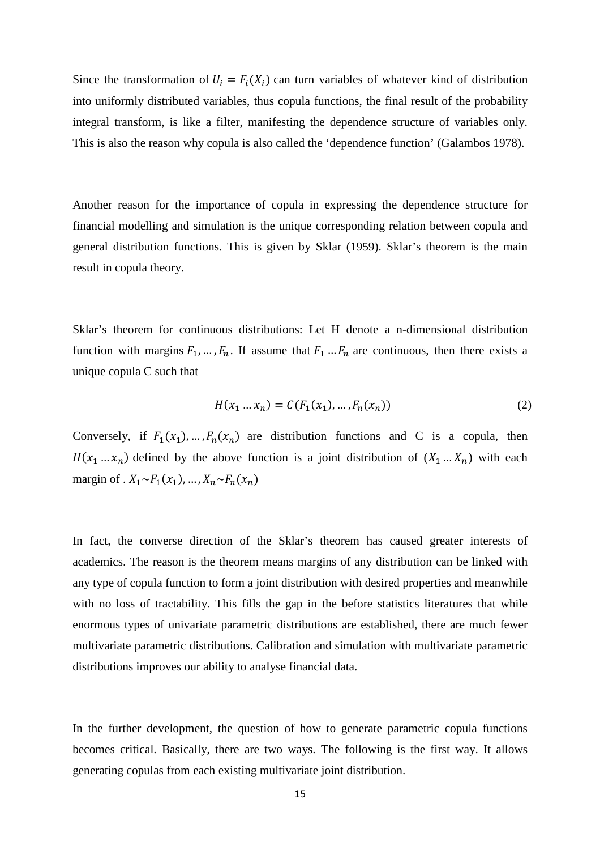Since the transformation of  $U_i = F_i(X_i)$  can turn variables of whatever kind of distribution into uniformly distributed variables, thus copula functions, the final result of the probability integral transform, is like a filter, manifesting the dependence structure of variables only. This is also the reason why copula is also called the 'dependence function' (Galambos 1978).

Another reason for the importance of copula in expressing the dependence structure for financial modelling and simulation is the unique corresponding relation between copula and general distribution functions. This is given by Sklar (1959). Sklar's theorem is the main result in copula theory.

Sklar's theorem for continuous distributions: Let H denote a n-dimensional distribution function with margins  $F_1, ..., F_n$ . If assume that  $F_1...F_n$  are continuous, then there exists a unique copula C such that

$$
H(x_1 ... x_n) = C(F_1(x_1), ..., F_n(x_n))
$$
\n(2)

Conversely, if  $F_1(x_1),..., F_n(x_n)$  are distribution functions and C is a copula, then  $H(x_1 ... x_n)$  defined by the above function is a joint distribution of  $(X_1 ... X_n)$  with each margin of  $X_1 \sim F_1(x_1), \ldots, X_n \sim F_n(x_n)$ 

In fact, the converse direction of the Sklar's theorem has caused greater interests of academics. The reason is the theorem means margins of any distribution can be linked with any type of copula function to form a joint distribution with desired properties and meanwhile with no loss of tractability. This fills the gap in the before statistics literatures that while enormous types of univariate parametric distributions are established, there are much fewer multivariate parametric distributions. Calibration and simulation with multivariate parametric distributions improves our ability to analyse financial data.

In the further development, the question of how to generate parametric copula functions becomes critical. Basically, there are two ways. The following is the first way. It allows generating copulas from each existing multivariate joint distribution.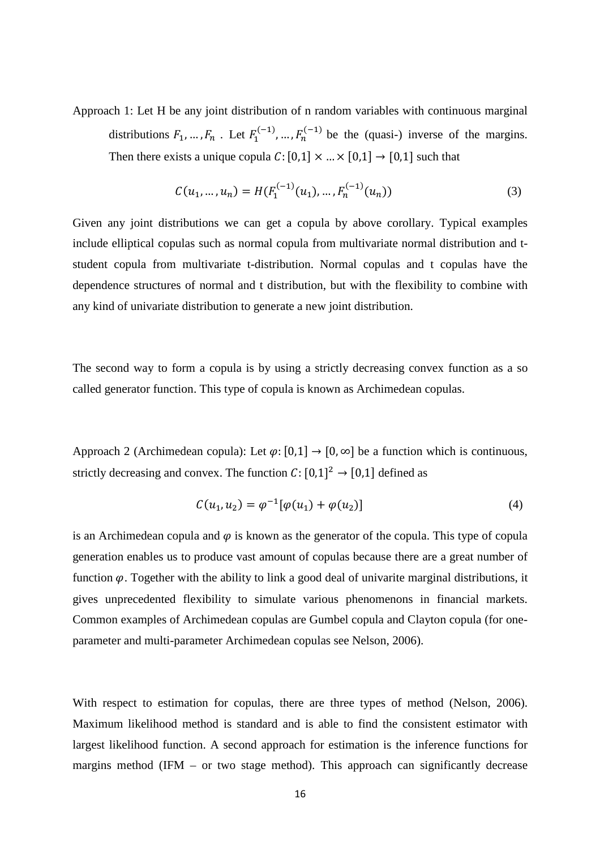Approach 1: Let H be any joint distribution of n random variables with continuous marginal distributions  $F_1, ..., F_n$ . Let  $F_1^{(-1)}, ..., F_n^{(-1)}$  be the (quasi-) inverse of the margins. Then there exists a unique copula  $C: [0,1] \times ... \times [0,1] \rightarrow [0,1]$  such that

$$
C(u_1, ..., u_n) = H(F_1^{(-1)}(u_1), ..., F_n^{(-1)}(u_n))
$$
\n(3)

Given any joint distributions we can get a copula by above corollary. Typical examples include elliptical copulas such as normal copula from multivariate normal distribution and tstudent copula from multivariate t-distribution. Normal copulas and t copulas have the dependence structures of normal and t distribution, but with the flexibility to combine with any kind of univariate distribution to generate a new joint distribution.

The second way to form a copula is by using a strictly decreasing convex function as a so called generator function. This type of copula is known as Archimedean copulas.

Approach 2 (Archimedean copula): Let  $\varphi$ : [0,1]  $\rightarrow$  [0,  $\infty$ ] be a function which is continuous, strictly decreasing and convex. The function  $C: [0,1]^2 \rightarrow [0,1]$  defined as

$$
C(u_1, u_2) = \varphi^{-1}[\varphi(u_1) + \varphi(u_2)] \tag{4}
$$

is an Archimedean copula and  $\varphi$  is known as the generator of the copula. This type of copula generation enables us to produce vast amount of copulas because there are a great number of function  $\varphi$ . Together with the ability to link a good deal of univarite marginal distributions, it gives unprecedented flexibility to simulate various phenomenons in financial markets. Common examples of Archimedean copulas are Gumbel copula and Clayton copula (for oneparameter and multi-parameter Archimedean copulas see Nelson, 2006).

With respect to estimation for copulas, there are three types of method (Nelson, 2006). Maximum likelihood method is standard and is able to find the consistent estimator with largest likelihood function. A second approach for estimation is the inference functions for margins method (IFM – or two stage method). This approach can significantly decrease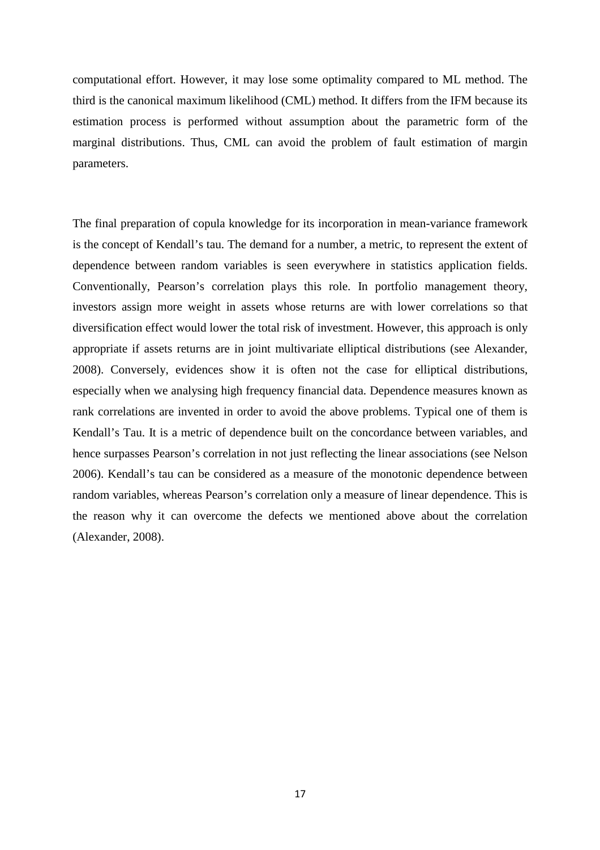computational effort. However, it may lose some optimality compared to ML method. The third is the canonical maximum likelihood (CML) method. It differs from the IFM because its estimation process is performed without assumption about the parametric form of the marginal distributions. Thus, CML can avoid the problem of fault estimation of margin parameters.

The final preparation of copula knowledge for its incorporation in mean-variance framework is the concept of Kendall's tau. The demand for a number, a metric, to represent the extent of dependence between random variables is seen everywhere in statistics application fields. Conventionally, Pearson's correlation plays this role. In portfolio management theory, investors assign more weight in assets whose returns are with lower correlations so that diversification effect would lower the total risk of investment. However, this approach is only appropriate if assets returns are in joint multivariate elliptical distributions (see Alexander, 2008). Conversely, evidences show it is often not the case for elliptical distributions, especially when we analysing high frequency financial data. Dependence measures known as rank correlations are invented in order to avoid the above problems. Typical one of them is Kendall's Tau. It is a metric of dependence built on the concordance between variables, and hence surpasses Pearson's correlation in not just reflecting the linear associations (see Nelson 2006). Kendall's tau can be considered as a measure of the monotonic dependence between random variables, whereas Pearson's correlation only a measure of linear dependence. This is the reason why it can overcome the defects we mentioned above about the correlation (Alexander, 2008).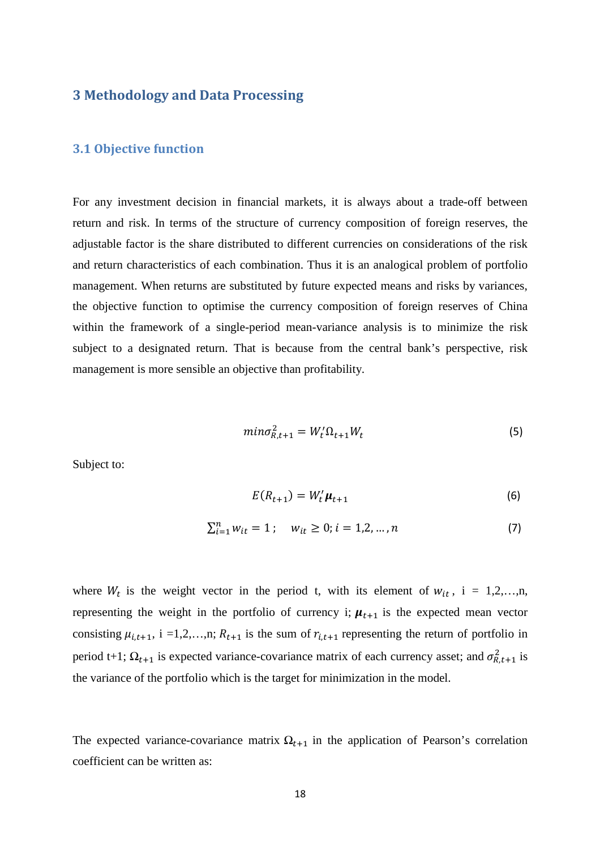## 3 Methodology and Data Processing

#### 3.1 Objective function

For any investment decision in financial markets, it is always about a trade-off between return and risk. In terms of the structure of currency composition of foreign reserves, the adjustable factor is the share distributed to different currencies on considerations of the risk and return characteristics of each combination. Thus it is an analogical problem of portfolio management. When returns are substituted by future expected means and risks by variances, the objective function to optimise the currency composition of foreign reserves of China within the framework of a single-period mean-variance analysis is to minimize the risk subject to a designated return. That is because from the central bank's perspective, risk management is more sensible an objective than profitability.

$$
min \sigma_{R,t+1}^2 = W_t' \Omega_{t+1} W_t \tag{5}
$$

Subject to:

$$
E(R_{t+1}) = W_t' \boldsymbol{\mu}_{t+1}
$$
 (6)

$$
\sum_{i=1}^{n} w_{it} = 1; \quad w_{it} \ge 0; i = 1, 2, ..., n
$$
 (7)

where  $W_t$  is the weight vector in the period t, with its element of  $W_{it}$ , i = 1,2,...,n, representing the weight in the portfolio of currency i;  $\mu_{t+1}$  is the expected mean vector consisting  $\mu_{i,t+1}$ , i =1,2,...,n;  $R_{t+1}$  is the sum of  $r_{i,t+1}$  representing the return of portfolio in period t+1;  $\Omega_{t+1}$  is expected variance-covariance matrix of each currency asset; and  $\sigma_{R,t+1}^2$  is the variance of the portfolio which is the target for minimization in the model.

The expected variance-covariance matrix  $\Omega_{t+1}$  in the application of Pearson's correlation coefficient can be written as: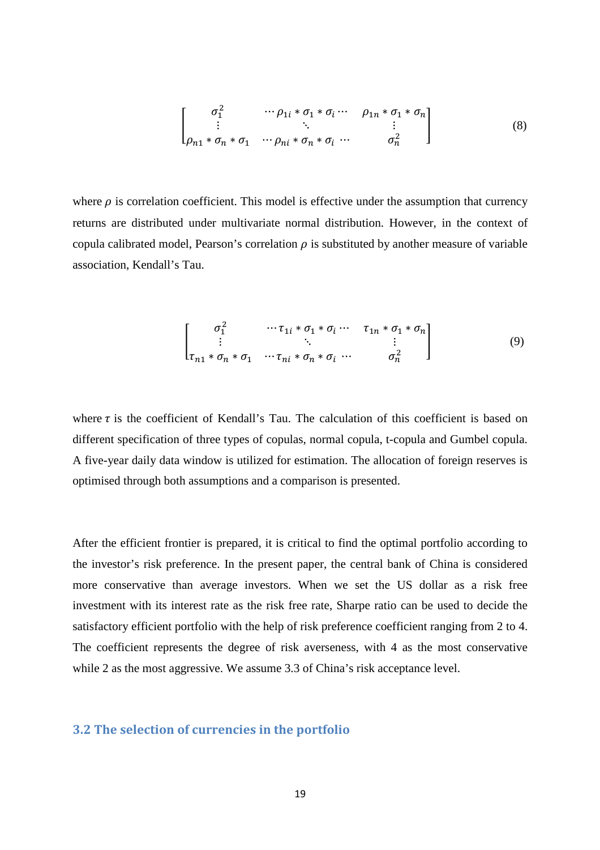$$
\begin{bmatrix}\n\sigma_1^2 & \cdots \rho_{1i} * \sigma_1 * \sigma_i \cdots & \rho_{1n} * \sigma_1 * \sigma_n \\
\vdots & \ddots & \vdots \\
\rho_{n1} * \sigma_n * \sigma_1 & \cdots \rho_{ni} * \sigma_n * \sigma_i \cdots & \sigma_n^2\n\end{bmatrix}
$$
\n(8)

where  $\rho$  is correlation coefficient. This model is effective under the assumption that currency returns are distributed under multivariate normal distribution. However, in the context of copula calibrated model, Pearson's correlation  $\rho$  is substituted by another measure of variable association, Kendall's Tau.

$$
\begin{bmatrix}\n\sigma_1^2 & \cdots \tau_{1i} * \sigma_1 * \sigma_i \cdots & \tau_{1n} * \sigma_1 * \sigma_n \\
\vdots & \ddots & \vdots \\
\tau_{n1} * \sigma_n * \sigma_1 & \cdots \tau_{ni} * \sigma_n * \sigma_i \cdots & \sigma_n^2\n\end{bmatrix}
$$
\n(9)

where  $\tau$  is the coefficient of Kendall's Tau. The calculation of this coefficient is based on different specification of three types of copulas, normal copula, t-copula and Gumbel copula. A five-year daily data window is utilized for estimation. The allocation of foreign reserves is optimised through both assumptions and a comparison is presented.

After the efficient frontier is prepared, it is critical to find the optimal portfolio according to the investor's risk preference. In the present paper, the central bank of China is considered more conservative than average investors. When we set the US dollar as a risk free investment with its interest rate as the risk free rate, Sharpe ratio can be used to decide the satisfactory efficient portfolio with the help of risk preference coefficient ranging from 2 to 4. The coefficient represents the degree of risk averseness, with 4 as the most conservative while 2 as the most aggressive. We assume 3.3 of China's risk acceptance level.

### 3.2 The selection of currencies in the portfolio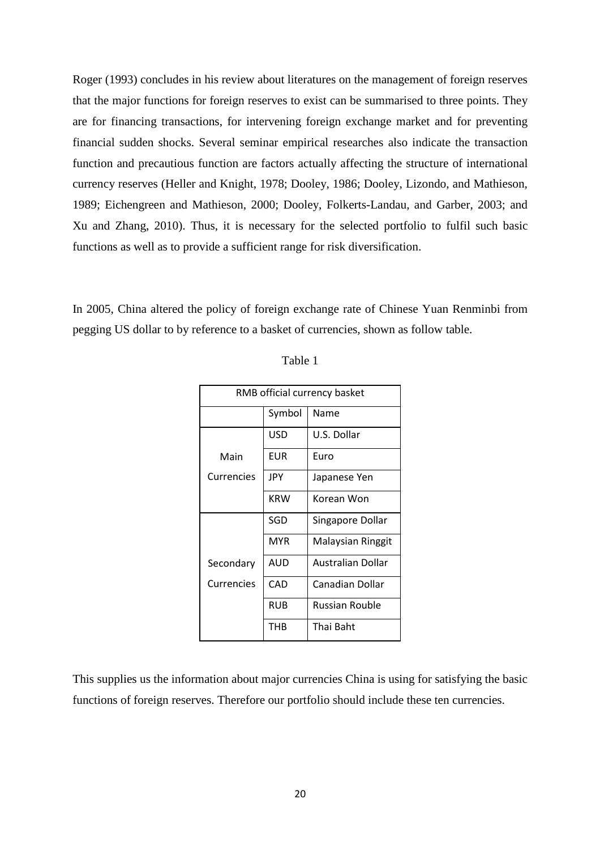Roger (1993) concludes in his review about literatures on the management of foreign reserves that the major functions for foreign reserves to exist can be summarised to three points. They are for financing transactions, for intervening foreign exchange market and for preventing financial sudden shocks. Several seminar empirical researches also indicate the transaction function and precautious function are factors actually affecting the structure of international currency reserves (Heller and Knight, 1978; Dooley, 1986; Dooley, Lizondo, and Mathieson, 1989; Eichengreen and Mathieson, 2000; Dooley, Folkerts-Landau, and Garber, 2003; and Xu and Zhang, 2010). Thus, it is necessary for the selected portfolio to fulfil such basic functions as well as to provide a sufficient range for risk diversification.

In 2005, China altered the policy of foreign exchange rate of Chinese Yuan Renminbi from pegging US dollar to by reference to a basket of currencies, shown as follow table.

| RMB official currency basket |                |                          |  |  |  |  |
|------------------------------|----------------|--------------------------|--|--|--|--|
|                              | Symbol<br>Name |                          |  |  |  |  |
|                              | USD            | U.S. Dollar              |  |  |  |  |
| Main                         | EUR            | Euro                     |  |  |  |  |
| Currencies                   | JPY            | Japanese Yen             |  |  |  |  |
|                              | <b>KRW</b>     | Korean Won               |  |  |  |  |
|                              | SGD            | Singapore Dollar         |  |  |  |  |
|                              | <b>MYR</b>     | Malaysian Ringgit        |  |  |  |  |
| Secondary                    | AUD            | <b>Australian Dollar</b> |  |  |  |  |
| Currencies                   | CAD            | Canadian Dollar          |  |  |  |  |
|                              | RUB            | Russian Rouble           |  |  |  |  |
|                              | THB            | Thai Baht                |  |  |  |  |

| anie |  |
|------|--|
|------|--|

This supplies us the information about major currencies China is using for satisfying the basic functions of foreign reserves. Therefore our portfolio should include these ten currencies.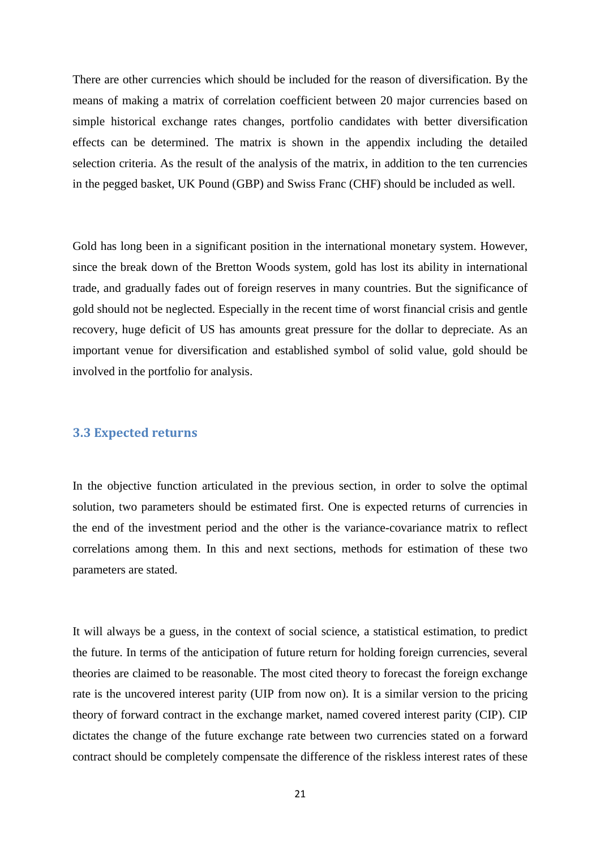There are other currencies which should be included for the reason of diversification. By the means of making a matrix of correlation coefficient between 20 major currencies based on simple historical exchange rates changes, portfolio candidates with better diversification effects can be determined. The matrix is shown in the appendix including the detailed selection criteria. As the result of the analysis of the matrix, in addition to the ten currencies in the pegged basket, UK Pound (GBP) and Swiss Franc (CHF) should be included as well.

Gold has long been in a significant position in the international monetary system. However, since the break down of the Bretton Woods system, gold has lost its ability in international trade, and gradually fades out of foreign reserves in many countries. But the significance of gold should not be neglected. Especially in the recent time of worst financial crisis and gentle recovery, huge deficit of US has amounts great pressure for the dollar to depreciate. As an important venue for diversification and established symbol of solid value, gold should be involved in the portfolio for analysis.

#### 3.3 Expected returns

In the objective function articulated in the previous section, in order to solve the optimal solution, two parameters should be estimated first. One is expected returns of currencies in the end of the investment period and the other is the variance-covariance matrix to reflect correlations among them. In this and next sections, methods for estimation of these two parameters are stated.

It will always be a guess, in the context of social science, a statistical estimation, to predict the future. In terms of the anticipation of future return for holding foreign currencies, several theories are claimed to be reasonable. The most cited theory to forecast the foreign exchange rate is the uncovered interest parity (UIP from now on). It is a similar version to the pricing theory of forward contract in the exchange market, named covered interest parity (CIP). CIP dictates the change of the future exchange rate between two currencies stated on a forward contract should be completely compensate the difference of the riskless interest rates of these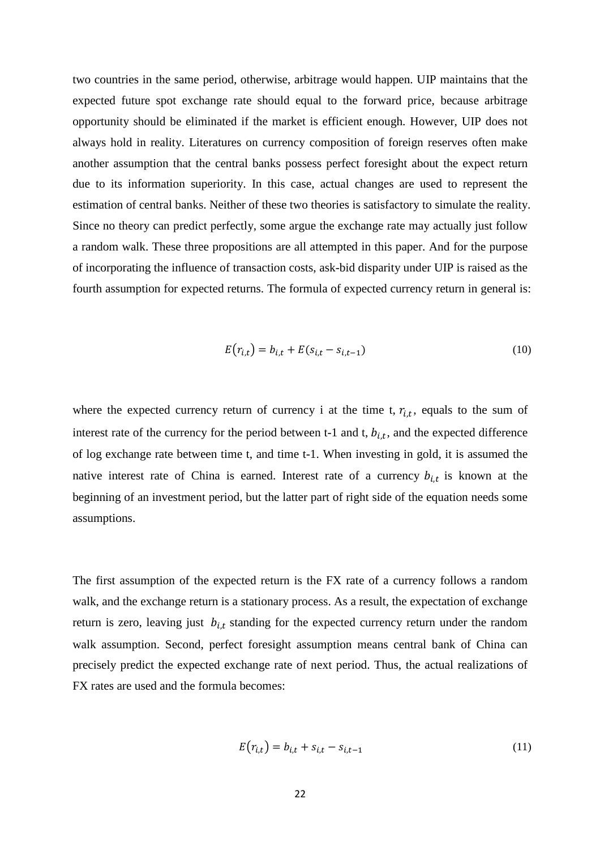two countries in the same period, otherwise, arbitrage would happen. UIP maintains that the expected future spot exchange rate should equal to the forward price, because arbitrage opportunity should be eliminated if the market is efficient enough. However, UIP does not always hold in reality. Literatures on currency composition of foreign reserves often make another assumption that the central banks possess perfect foresight about the expect return due to its information superiority. In this case, actual changes are used to represent the estimation of central banks. Neither of these two theories is satisfactory to simulate the reality. Since no theory can predict perfectly, some argue the exchange rate may actually just follow a random walk. These three propositions are all attempted in this paper. And for the purpose of incorporating the influence of transaction costs, ask-bid disparity under UIP is raised as the fourth assumption for expected returns. The formula of expected currency return in general is:

$$
E(r_{i,t}) = b_{i,t} + E(s_{i,t} - s_{i,t-1})
$$
\n(10)

where the expected currency return of currency i at the time t,  $r_{i,t}$ , equals to the sum of interest rate of the currency for the period between t-1 and t,  $b_{i,t}$ , and the expected difference of log exchange rate between time t, and time t-1. When investing in gold, it is assumed the native interest rate of China is earned. Interest rate of a currency  $b_{i,t}$  is known at the beginning of an investment period, but the latter part of right side of the equation needs some assumptions.

The first assumption of the expected return is the FX rate of a currency follows a random walk, and the exchange return is a stationary process. As a result, the expectation of exchange return is zero, leaving just  $b_{i,t}$  standing for the expected currency return under the random walk assumption. Second, perfect foresight assumption means central bank of China can precisely predict the expected exchange rate of next period. Thus, the actual realizations of FX rates are used and the formula becomes:

$$
E(r_{i,t}) = b_{i,t} + s_{i,t} - s_{i,t-1}
$$
\n(11)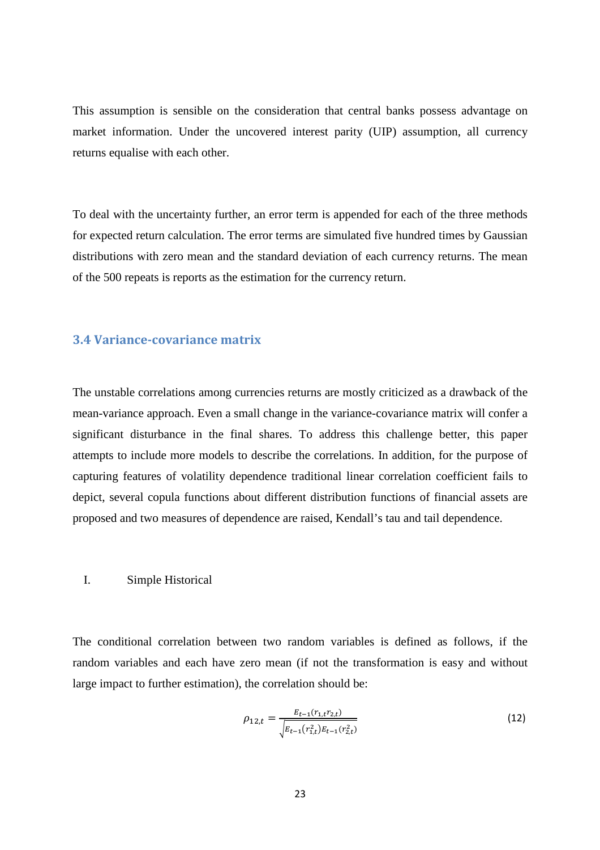This assumption is sensible on the consideration that central banks possess advantage on market information. Under the uncovered interest parity (UIP) assumption, all currency returns equalise with each other.

To deal with the uncertainty further, an error term is appended for each of the three methods for expected return calculation. The error terms are simulated five hundred times by Gaussian distributions with zero mean and the standard deviation of each currency returns. The mean of the 500 repeats is reports as the estimation for the currency return.

## 3.4 Variance-covariance matrix

The unstable correlations among currencies returns are mostly criticized as a drawback of the mean-variance approach. Even a small change in the variance-covariance matrix will confer a significant disturbance in the final shares. To address this challenge better, this paper attempts to include more models to describe the correlations. In addition, for the purpose of capturing features of volatility dependence traditional linear correlation coefficient fails to depict, several copula functions about different distribution functions of financial assets are proposed and two measures of dependence are raised, Kendall's tau and tail dependence.

#### I. Simple Historical

The conditional correlation between two random variables is defined as follows, if the random variables and each have zero mean (if not the transformation is easy and without large impact to further estimation), the correlation should be:

$$
\rho_{12,t} = \frac{E_{t-1}(r_{1,t}r_{2,t})}{\sqrt{E_{t-1}(r_{1,t}^2)E_{t-1}(r_{2,t}^2)}}
$$
(12)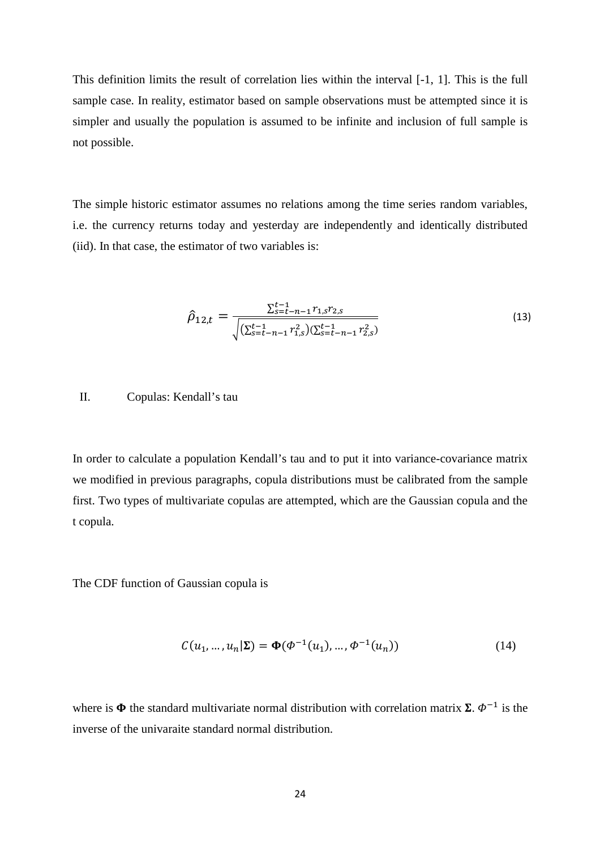This definition limits the result of correlation lies within the interval [-1, 1]. This is the full sample case. In reality, estimator based on sample observations must be attempted since it is simpler and usually the population is assumed to be infinite and inclusion of full sample is not possible.

The simple historic estimator assumes no relations among the time series random variables, i.e. the currency returns today and yesterday are independently and identically distributed (iid). In that case, the estimator of two variables is:

$$
\hat{\rho}_{12,t} = \frac{\sum_{s=t-n-1}^{t-1} r_{1,s} r_{2,s}}{\sqrt{(\sum_{s=t-n-1}^{t-1} r_{1,s}^2)(\sum_{s=t-n-1}^{t-1} r_{2,s}^2)}}
$$
(13)

## II. Copulas: Kendall's tau

In order to calculate a population Kendall's tau and to put it into variance-covariance matrix we modified in previous paragraphs, copula distributions must be calibrated from the sample first. Two types of multivariate copulas are attempted, which are the Gaussian copula and the t copula.

The CDF function of Gaussian copula is

$$
C(u_1, ..., u_n | \Sigma) = \Phi(\Phi^{-1}(u_1), ..., \Phi^{-1}(u_n))
$$
\n(14)

where is  $\Phi$  the standard multivariate normal distribution with correlation matrix  $\Sigma$ .  $\Phi^{-1}$  is the inverse of the univaraite standard normal distribution.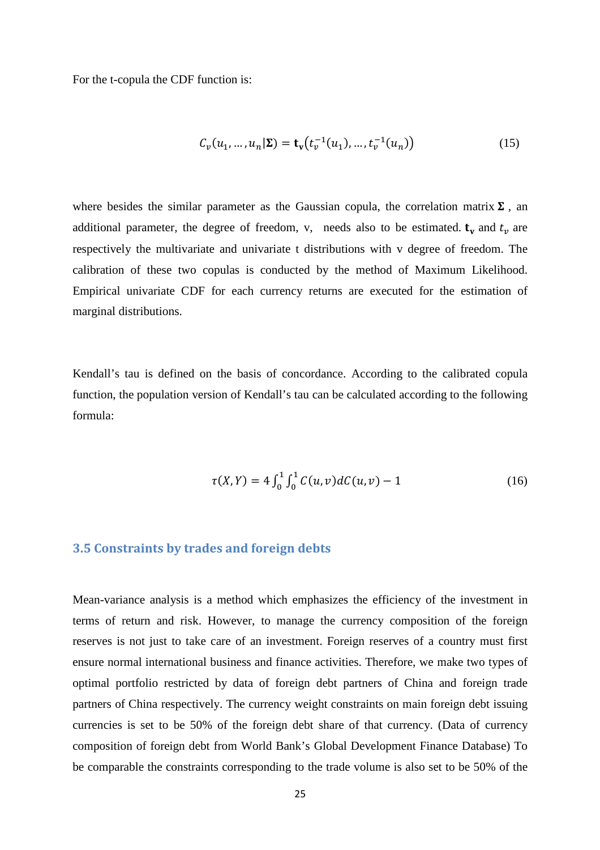For the t-copula the CDF function is:

$$
C_{\nu}(u_1, ..., u_n | \Sigma) = \mathbf{t}_{\mathbf{v}}(t_{\nu}^{-1}(u_1), ..., t_{\nu}^{-1}(u_n))
$$
(15)

where besides the similar parameter as the Gaussian copula, the correlation matrix  $\Sigma$ , an additional parameter, the degree of freedom, v, needs also to be estimated.  $t_v$  and  $t_v$  are respectively the multivariate and univariate t distributions with v degree of freedom. The calibration of these two copulas is conducted by the method of Maximum Likelihood. Empirical univariate CDF for each currency returns are executed for the estimation of marginal distributions.

Kendall's tau is defined on the basis of concordance. According to the calibrated copula function, the population version of Kendall's tau can be calculated according to the following formula:

$$
\tau(X,Y) = 4 \int_0^1 \int_0^1 C(u,v) dC(u,v) - 1 \tag{16}
$$

### 3.5 Constraints by trades and foreign debts

Mean-variance analysis is a method which emphasizes the efficiency of the investment in terms of return and risk. However, to manage the currency composition of the foreign reserves is not just to take care of an investment. Foreign reserves of a country must first ensure normal international business and finance activities. Therefore, we make two types of optimal portfolio restricted by data of foreign debt partners of China and foreign trade partners of China respectively. The currency weight constraints on main foreign debt issuing currencies is set to be 50% of the foreign debt share of that currency. (Data of currency composition of foreign debt from World Bank's Global Development Finance Database) To be comparable the constraints corresponding to the trade volume is also set to be 50% of the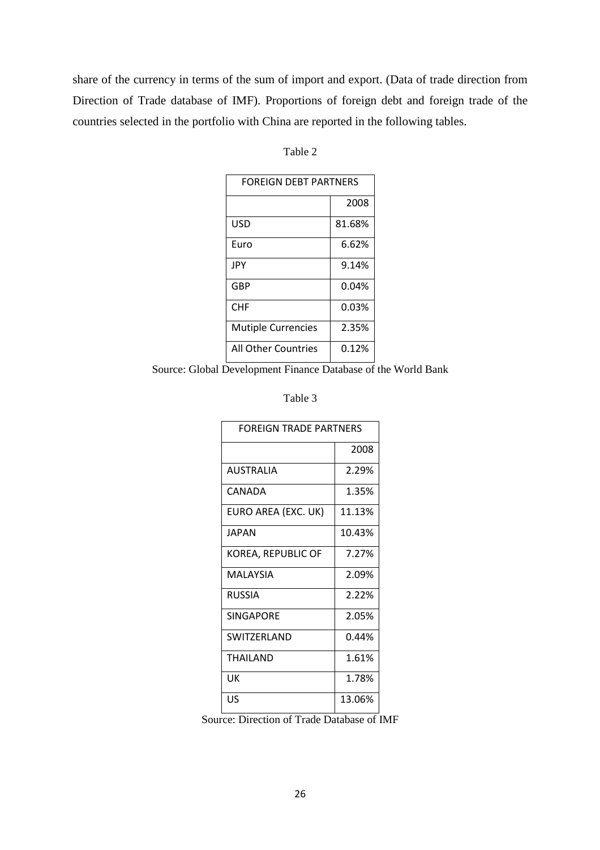share of the currency in terms of the sum of import and export. (Data of trade direction from Direction of Trade database of IMF). Proportions of foreign debt and foreign trade of the countries selected in the portfolio with China are reported in the following tables.

| FOREIGN DEBT PARTNERS     |        |  |  |  |
|---------------------------|--------|--|--|--|
|                           | 2008   |  |  |  |
| USD                       | 81.68% |  |  |  |
| Euro                      | 6.62%  |  |  |  |
| JPY                       | 9.14%  |  |  |  |
| <b>GBP</b>                | 0.04%  |  |  |  |
| CHF                       | 0.03%  |  |  |  |
| <b>Mutiple Currencies</b> | 2.35%  |  |  |  |
| All Other Countries       | 0.12%  |  |  |  |

Table 2

Source: Global Development Finance Database of the World Bank

Table 3

| FOREIGN TRADE PARTNERS |        |  |  |  |
|------------------------|--------|--|--|--|
|                        | 2008   |  |  |  |
| <b>AUSTRALIA</b>       | 2.29%  |  |  |  |
| CANADA                 | 1.35%  |  |  |  |
| EURO AREA (EXC. UK)    | 11.13% |  |  |  |
| JAPAN                  | 10.43% |  |  |  |
| KOREA, REPUBLIC OF     | 7.27%  |  |  |  |
| MALAYSIA               | 2.09%  |  |  |  |
| RUSSIA                 | 2.22%  |  |  |  |
| <b>SINGAPORE</b>       | 2.05%  |  |  |  |
| SWITZERLAND            | 0.44%  |  |  |  |
| THAILAND               | 1.61%  |  |  |  |
| UΚ                     | 1.78%  |  |  |  |
| US                     | 13.06% |  |  |  |

Source: Direction of Trade Database of IMF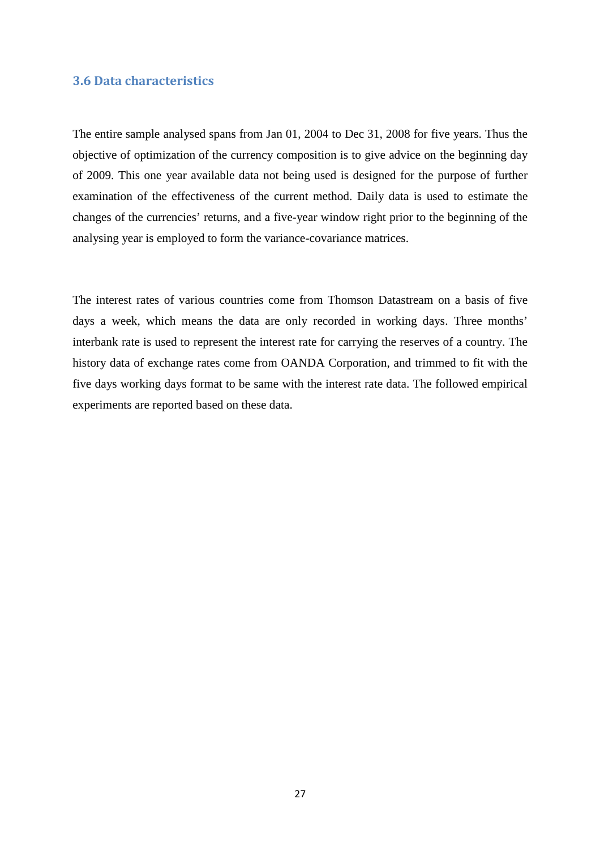## 3.6 Data characteristics

The entire sample analysed spans from Jan 01, 2004 to Dec 31, 2008 for five years. Thus the objective of optimization of the currency composition is to give advice on the beginning day of 2009. This one year available data not being used is designed for the purpose of further examination of the effectiveness of the current method. Daily data is used to estimate the changes of the currencies' returns, and a five-year window right prior to the beginning of the analysing year is employed to form the variance-covariance matrices.

The interest rates of various countries come from Thomson Datastream on a basis of five days a week, which means the data are only recorded in working days. Three months' interbank rate is used to represent the interest rate for carrying the reserves of a country. The history data of exchange rates come from OANDA Corporation, and trimmed to fit with the five days working days format to be same with the interest rate data. The followed empirical experiments are reported based on these data.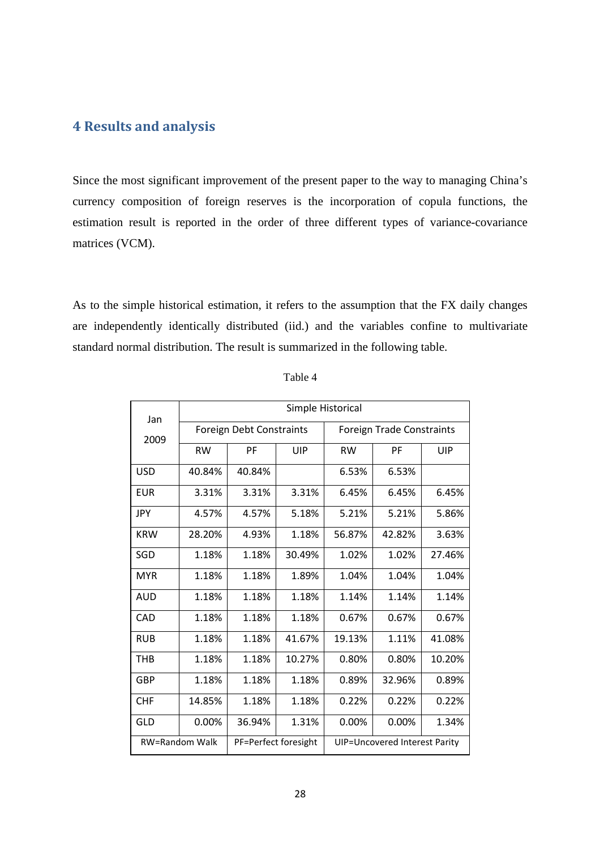## 4 Results and analysis

Since the most significant improvement of the present paper to the way to managing China's currency composition of foreign reserves is the incorporation of copula functions, the estimation result is reported in the order of three different types of variance-covariance matrices (VCM).

As to the simple historical estimation, it refers to the assumption that the FX daily changes are independently identically distributed (iid.) and the variables confine to multivariate standard normal distribution. The result is summarized in the following table.

| Jan                   | Simple Historical        |                      |        |                                  |        |        |  |
|-----------------------|--------------------------|----------------------|--------|----------------------------------|--------|--------|--|
| 2009                  | Foreign Debt Constraints |                      |        | <b>Foreign Trade Constraints</b> |        |        |  |
|                       | <b>RW</b>                | PF                   | UIP    | <b>RW</b>                        | PF     | UIP    |  |
| <b>USD</b>            | 40.84%                   | 40.84%               |        | 6.53%                            | 6.53%  |        |  |
| <b>EUR</b>            | 3.31%                    | 3.31%                | 3.31%  | 6.45%                            | 6.45%  | 6.45%  |  |
| <b>JPY</b>            | 4.57%                    | 4.57%                | 5.18%  | 5.21%                            | 5.21%  | 5.86%  |  |
| <b>KRW</b>            | 28.20%                   | 4.93%                | 1.18%  | 56.87%                           | 42.82% | 3.63%  |  |
| SGD                   | 1.18%                    | 1.18%                | 30.49% | 1.02%                            | 1.02%  | 27.46% |  |
| <b>MYR</b>            | 1.18%                    | 1.18%                | 1.89%  | 1.04%                            | 1.04%  | 1.04%  |  |
| <b>AUD</b>            | 1.18%                    | 1.18%                | 1.18%  | 1.14%                            | 1.14%  | 1.14%  |  |
| CAD                   | 1.18%                    | 1.18%                | 1.18%  | 0.67%                            | 0.67%  | 0.67%  |  |
| <b>RUB</b>            | 1.18%                    | 1.18%                | 41.67% | 19.13%                           | 1.11%  | 41.08% |  |
| THB                   | 1.18%                    | 1.18%                | 10.27% | 0.80%                            | 0.80%  | 10.20% |  |
| GBP                   | 1.18%                    | 1.18%                | 1.18%  | 0.89%                            | 32.96% | 0.89%  |  |
| <b>CHF</b>            | 14.85%                   | 1.18%                | 1.18%  | 0.22%                            | 0.22%  | 0.22%  |  |
| GLD                   | 0.00%                    | 36.94%               | 1.31%  | 0.00%                            | 0.00%  | 1.34%  |  |
| <b>RW=Random Walk</b> |                          | PF=Perfect foresight |        | UIP=Uncovered Interest Parity    |        |        |  |

Table 4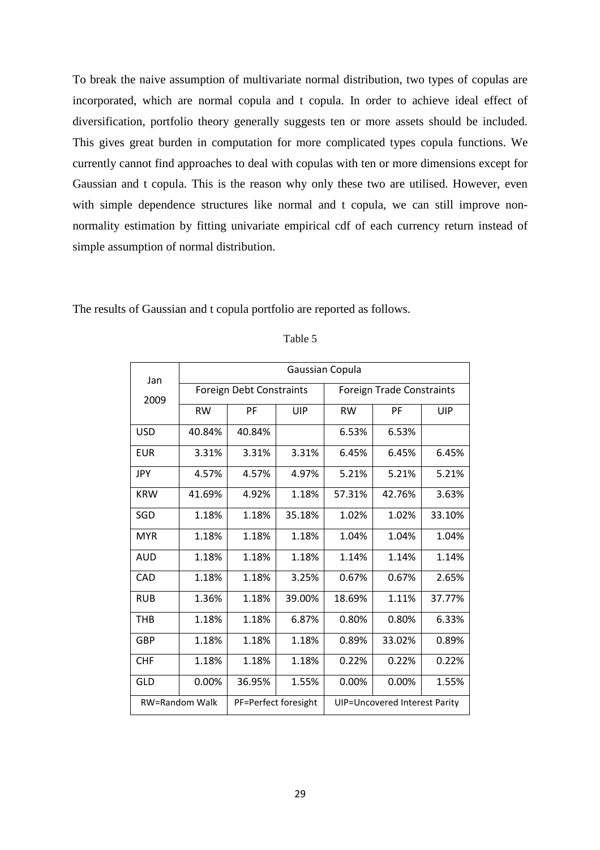To break the naive assumption of multivariate normal distribution, two types of copulas are incorporated, which are normal copula and t copula. In order to achieve ideal effect of diversification, portfolio theory generally suggests ten or more assets should be included. This gives great burden in computation for more complicated types copula functions. We currently cannot find approaches to deal with copulas with ten or more dimensions except for Gaussian and t copula. This is the reason why only these two are utilised. However, even with simple dependence structures like normal and t copula, we can still improve nonnormality estimation by fitting univariate empirical cdf of each currency return instead of simple assumption of normal distribution.

The results of Gaussian and t copula portfolio are reported as follows.

| Jan                   |                                 | Gaussian Copula      |            |                                  |        |            |
|-----------------------|---------------------------------|----------------------|------------|----------------------------------|--------|------------|
| 2009                  | <b>Foreign Debt Constraints</b> |                      |            | <b>Foreign Trade Constraints</b> |        |            |
|                       | <b>RW</b>                       | PF                   | <b>UIP</b> | <b>RW</b>                        | PF     | <b>UIP</b> |
| <b>USD</b>            | 40.84%                          | 40.84%               |            | 6.53%                            | 6.53%  |            |
| <b>EUR</b>            | 3.31%                           | 3.31%                | 3.31%      | 6.45%                            | 6.45%  | 6.45%      |
| <b>JPY</b>            | 4.57%                           | 4.57%                | 4.97%      | 5.21%                            | 5.21%  | 5.21%      |
| <b>KRW</b>            | 41.69%                          | 4.92%                | 1.18%      | 57.31%                           | 42.76% | 3.63%      |
| SGD                   | 1.18%                           | 1.18%                | 35.18%     | 1.02%                            | 1.02%  | 33.10%     |
| <b>MYR</b>            | 1.18%                           | 1.18%                | 1.18%      | 1.04%                            | 1.04%  | 1.04%      |
| AUD                   | 1.18%                           | 1.18%                | 1.18%      | 1.14%                            | 1.14%  | 1.14%      |
| CAD                   | 1.18%                           | 1.18%                | 3.25%      | 0.67%                            | 0.67%  | 2.65%      |
| <b>RUB</b>            | 1.36%                           | 1.18%                | 39.00%     | 18.69%                           | 1.11%  | 37.77%     |
| <b>THB</b>            | 1.18%                           | 1.18%                | 6.87%      | 0.80%                            | 0.80%  | 6.33%      |
| <b>GBP</b>            | 1.18%                           | 1.18%                | 1.18%      | 0.89%                            | 33.02% | 0.89%      |
| <b>CHF</b>            | 1.18%                           | 1.18%                | 1.18%      | 0.22%                            | 0.22%  | 0.22%      |
| GLD                   | 0.00%                           | 36.95%               | 1.55%      | 0.00%                            | 0.00%  | 1.55%      |
| <b>RW=Random Walk</b> |                                 | PF=Perfect foresight |            | UIP=Uncovered Interest Parity    |        |            |

### Table 5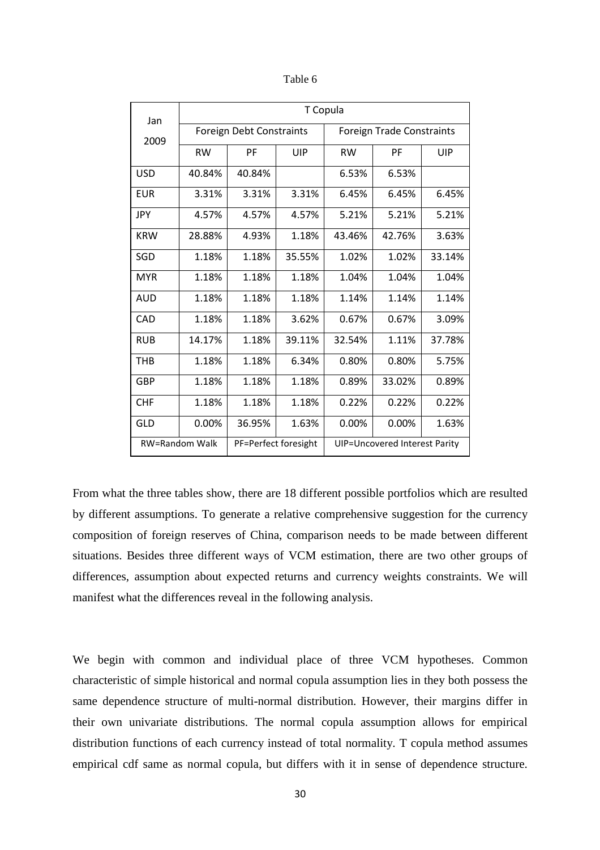| apie |
|------|
|------|

| Jan                   | T Copula                 |                      |        |                                  |        |        |  |
|-----------------------|--------------------------|----------------------|--------|----------------------------------|--------|--------|--|
| 2009                  | Foreign Debt Constraints |                      |        | <b>Foreign Trade Constraints</b> |        |        |  |
|                       | <b>RW</b>                | PF                   | UIP    | <b>RW</b>                        | PF     | UIP    |  |
| <b>USD</b>            | 40.84%                   | 40.84%               |        | 6.53%                            | 6.53%  |        |  |
| EUR                   | 3.31%                    | 3.31%                | 3.31%  | 6.45%                            | 6.45%  | 6.45%  |  |
| JPY                   | 4.57%                    | 4.57%                | 4.57%  | 5.21%                            | 5.21%  | 5.21%  |  |
| <b>KRW</b>            | 28.88%                   | 4.93%                | 1.18%  | 43.46%                           | 42.76% | 3.63%  |  |
| SGD                   | 1.18%                    | 1.18%                | 35.55% | 1.02%                            | 1.02%  | 33.14% |  |
| <b>MYR</b>            | 1.18%                    | 1.18%                | 1.18%  | 1.04%                            | 1.04%  | 1.04%  |  |
| AUD                   | 1.18%                    | 1.18%                | 1.18%  | 1.14%                            | 1.14%  | 1.14%  |  |
| CAD                   | 1.18%                    | 1.18%                | 3.62%  | 0.67%                            | 0.67%  | 3.09%  |  |
| <b>RUB</b>            | 14.17%                   | 1.18%                | 39.11% | 32.54%                           | 1.11%  | 37.78% |  |
| THB                   | 1.18%                    | 1.18%                | 6.34%  | 0.80%                            | 0.80%  | 5.75%  |  |
| GBP                   | 1.18%                    | 1.18%                | 1.18%  | 0.89%                            | 33.02% | 0.89%  |  |
| <b>CHF</b>            | 1.18%                    | 1.18%                | 1.18%  | 0.22%                            | 0.22%  | 0.22%  |  |
| GLD                   | 0.00%                    | 36.95%               | 1.63%  | 0.00%                            | 0.00%  | 1.63%  |  |
| <b>RW=Random Walk</b> |                          | PF=Perfect foresight |        | UIP=Uncovered Interest Parity    |        |        |  |

From what the three tables show, there are 18 different possible portfolios which are resulted by different assumptions. To generate a relative comprehensive suggestion for the currency composition of foreign reserves of China, comparison needs to be made between different situations. Besides three different ways of VCM estimation, there are two other groups of differences, assumption about expected returns and currency weights constraints. We will manifest what the differences reveal in the following analysis.

We begin with common and individual place of three VCM hypotheses. Common characteristic of simple historical and normal copula assumption lies in they both possess the same dependence structure of multi-normal distribution. However, their margins differ in their own univariate distributions. The normal copula assumption allows for empirical distribution functions of each currency instead of total normality. T copula method assumes empirical cdf same as normal copula, but differs with it in sense of dependence structure.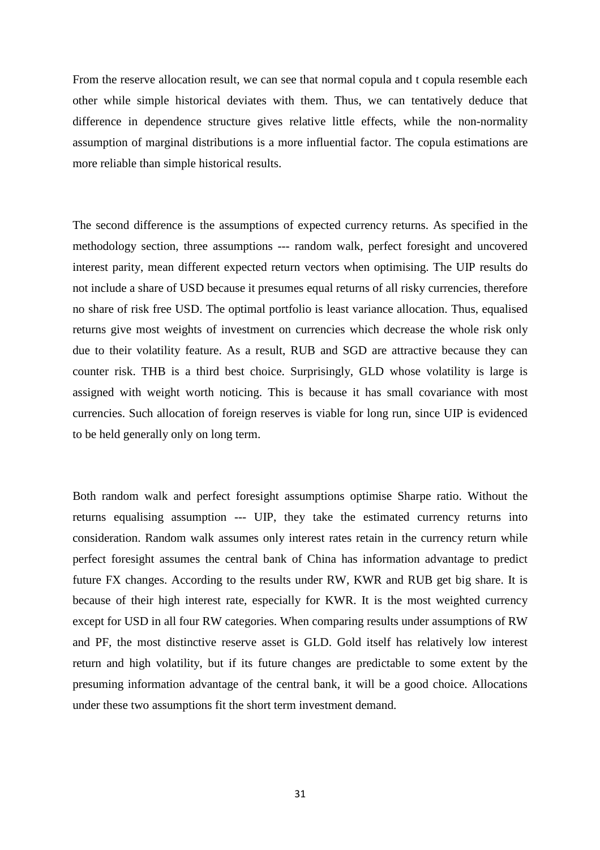From the reserve allocation result, we can see that normal copula and t copula resemble each other while simple historical deviates with them. Thus, we can tentatively deduce that difference in dependence structure gives relative little effects, while the non-normality assumption of marginal distributions is a more influential factor. The copula estimations are more reliable than simple historical results.

The second difference is the assumptions of expected currency returns. As specified in the methodology section, three assumptions --- random walk, perfect foresight and uncovered interest parity, mean different expected return vectors when optimising. The UIP results do not include a share of USD because it presumes equal returns of all risky currencies, therefore no share of risk free USD. The optimal portfolio is least variance allocation. Thus, equalised returns give most weights of investment on currencies which decrease the whole risk only due to their volatility feature. As a result, RUB and SGD are attractive because they can counter risk. THB is a third best choice. Surprisingly, GLD whose volatility is large is assigned with weight worth noticing. This is because it has small covariance with most currencies. Such allocation of foreign reserves is viable for long run, since UIP is evidenced to be held generally only on long term.

Both random walk and perfect foresight assumptions optimise Sharpe ratio. Without the returns equalising assumption --- UIP, they take the estimated currency returns into consideration. Random walk assumes only interest rates retain in the currency return while perfect foresight assumes the central bank of China has information advantage to predict future FX changes. According to the results under RW, KWR and RUB get big share. It is because of their high interest rate, especially for KWR. It is the most weighted currency except for USD in all four RW categories. When comparing results under assumptions of RW and PF, the most distinctive reserve asset is GLD. Gold itself has relatively low interest return and high volatility, but if its future changes are predictable to some extent by the presuming information advantage of the central bank, it will be a good choice. Allocations under these two assumptions fit the short term investment demand.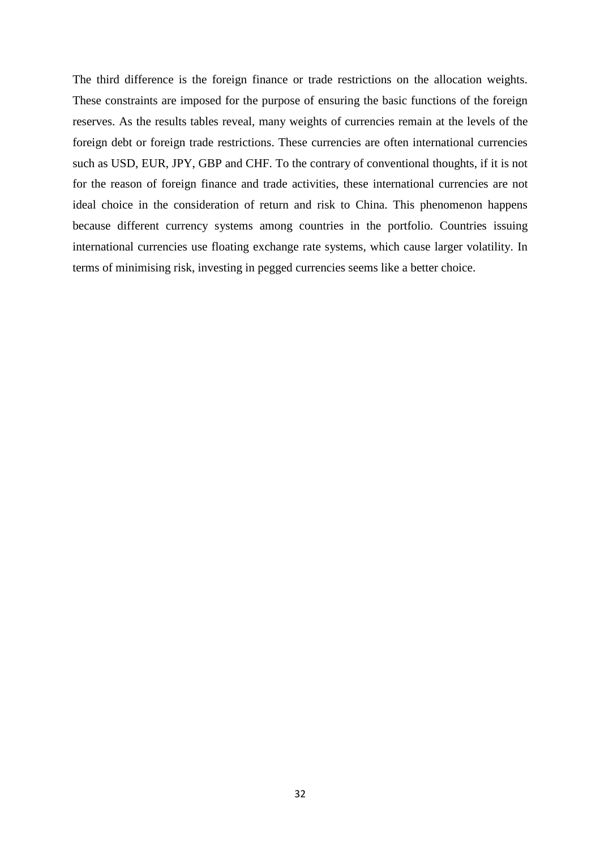The third difference is the foreign finance or trade restrictions on the allocation weights. These constraints are imposed for the purpose of ensuring the basic functions of the foreign reserves. As the results tables reveal, many weights of currencies remain at the levels of the foreign debt or foreign trade restrictions. These currencies are often international currencies such as USD, EUR, JPY, GBP and CHF. To the contrary of conventional thoughts, if it is not for the reason of foreign finance and trade activities, these international currencies are not ideal choice in the consideration of return and risk to China. This phenomenon happens because different currency systems among countries in the portfolio. Countries issuing international currencies use floating exchange rate systems, which cause larger volatility. In terms of minimising risk, investing in pegged currencies seems like a better choice.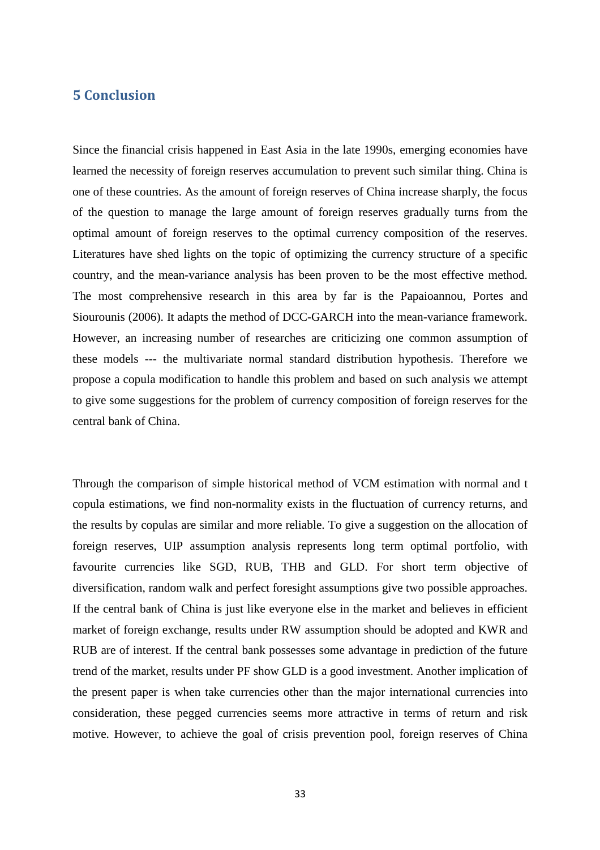## 5 Conclusion

Since the financial crisis happened in East Asia in the late 1990s, emerging economies have learned the necessity of foreign reserves accumulation to prevent such similar thing. China is one of these countries. As the amount of foreign reserves of China increase sharply, the focus of the question to manage the large amount of foreign reserves gradually turns from the optimal amount of foreign reserves to the optimal currency composition of the reserves. Literatures have shed lights on the topic of optimizing the currency structure of a specific country, and the mean-variance analysis has been proven to be the most effective method. The most comprehensive research in this area by far is the Papaioannou, Portes and Siourounis (2006). It adapts the method of DCC-GARCH into the mean-variance framework. However, an increasing number of researches are criticizing one common assumption of these models --- the multivariate normal standard distribution hypothesis. Therefore we propose a copula modification to handle this problem and based on such analysis we attempt to give some suggestions for the problem of currency composition of foreign reserves for the central bank of China.

Through the comparison of simple historical method of VCM estimation with normal and t copula estimations, we find non-normality exists in the fluctuation of currency returns, and the results by copulas are similar and more reliable. To give a suggestion on the allocation of foreign reserves, UIP assumption analysis represents long term optimal portfolio, with favourite currencies like SGD, RUB, THB and GLD. For short term objective of diversification, random walk and perfect foresight assumptions give two possible approaches. If the central bank of China is just like everyone else in the market and believes in efficient market of foreign exchange, results under RW assumption should be adopted and KWR and RUB are of interest. If the central bank possesses some advantage in prediction of the future trend of the market, results under PF show GLD is a good investment. Another implication of the present paper is when take currencies other than the major international currencies into consideration, these pegged currencies seems more attractive in terms of return and risk motive. However, to achieve the goal of crisis prevention pool, foreign reserves of China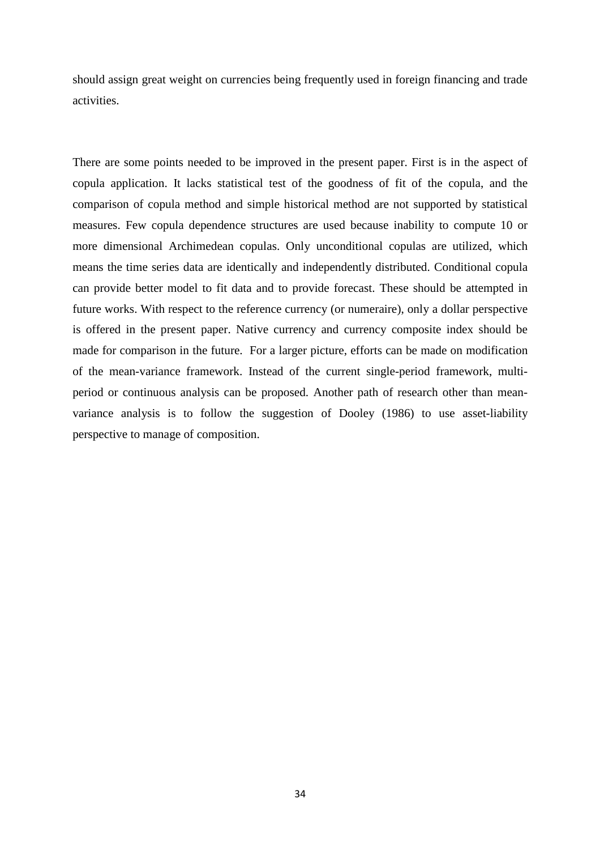should assign great weight on currencies being frequently used in foreign financing and trade activities.

There are some points needed to be improved in the present paper. First is in the aspect of copula application. It lacks statistical test of the goodness of fit of the copula, and the comparison of copula method and simple historical method are not supported by statistical measures. Few copula dependence structures are used because inability to compute 10 or more dimensional Archimedean copulas. Only unconditional copulas are utilized, which means the time series data are identically and independently distributed. Conditional copula can provide better model to fit data and to provide forecast. These should be attempted in future works. With respect to the reference currency (or numeraire), only a dollar perspective is offered in the present paper. Native currency and currency composite index should be made for comparison in the future. For a larger picture, efforts can be made on modification of the mean-variance framework. Instead of the current single-period framework, multiperiod or continuous analysis can be proposed. Another path of research other than meanvariance analysis is to follow the suggestion of Dooley (1986) to use asset-liability perspective to manage of composition.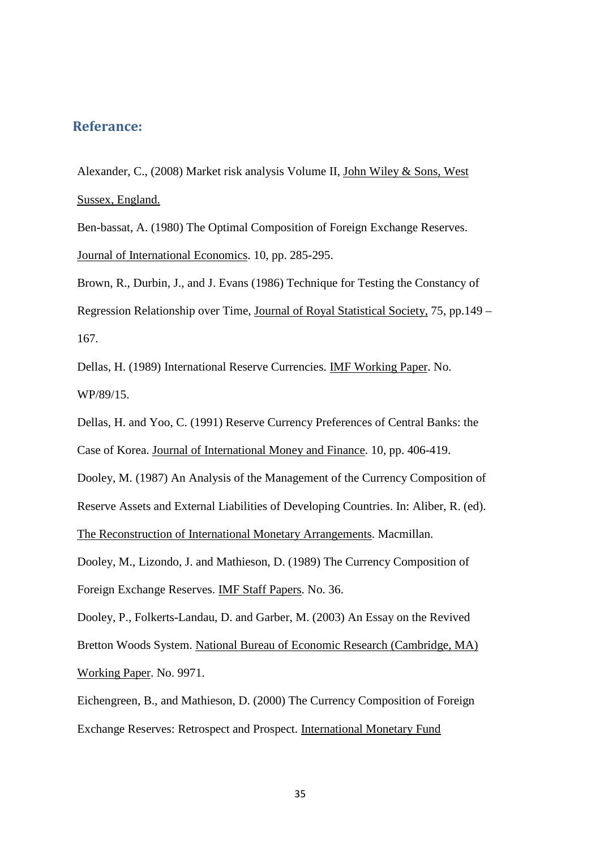## Referance:

Alexander, C., (2008) Market risk analysis Volume II, John Wiley & Sons, West Sussex, England.

Ben-bassat, A. (1980) The Optimal Composition of Foreign Exchange Reserves. Journal of International Economics. 10, pp. 285-295.

Brown, R., Durbin, J., and J. Evans (1986) Technique for Testing the Constancy of Regression Relationship over Time, Journal of Royal Statistical Society, 75, pp.149 – 167.

Dellas, H. (1989) International Reserve Currencies. IMF Working Paper. No. WP/89/15.

Dellas, H. and Yoo, C. (1991) Reserve Currency Preferences of Central Banks: the Case of Korea. Journal of International Money and Finance. 10, pp. 406-419. Dooley, M. (1987) An Analysis of the Management of the Currency Composition of Reserve Assets and External Liabilities of Developing Countries. In: Aliber, R. (ed).

The Reconstruction of International Monetary Arrangements. Macmillan.

Dooley, M., Lizondo, J. and Mathieson, D. (1989) The Currency Composition of Foreign Exchange Reserves. IMF Staff Papers. No. 36.

Dooley, P., Folkerts-Landau, D. and Garber, M. (2003) An Essay on the Revived Bretton Woods System. National Bureau of Economic Research (Cambridge, MA) Working Paper. No. 9971.

Eichengreen, B., and Mathieson, D. (2000) The Currency Composition of Foreign Exchange Reserves: Retrospect and Prospect. International Monetary Fund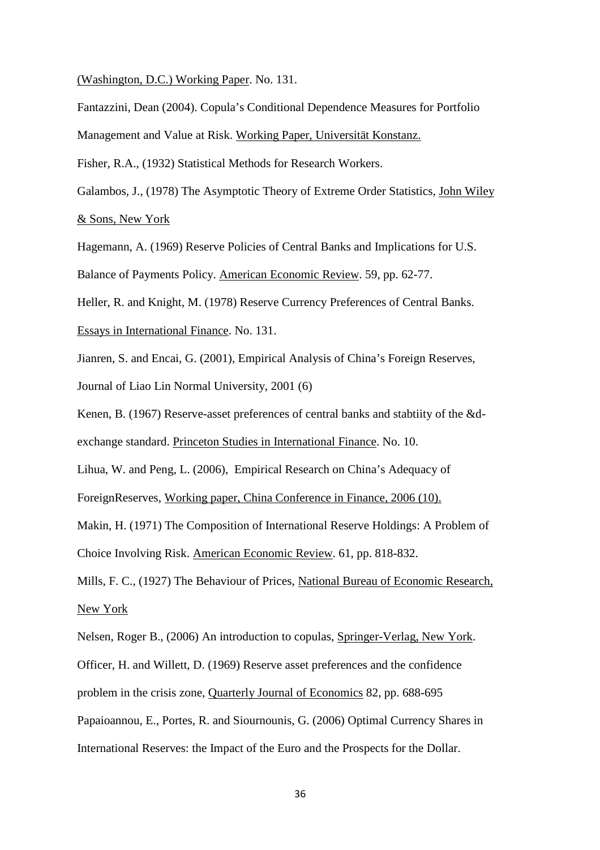(Washington, D.C.) Working Paper. No. 131.

Fantazzini, Dean (2004). Copula's Conditional Dependence Measures for Portfolio

Management and Value at Risk. Working Paper, Universität Konstanz.

Fisher, R.A., (1932) Statistical Methods for Research Workers.

Galambos, J., (1978) The Asymptotic Theory of Extreme Order Statistics, John Wiley & Sons, New York

Hagemann, A. (1969) Reserve Policies of Central Banks and Implications for U.S.

Balance of Payments Policy. American Economic Review. 59, pp. 62-77.

Heller, R. and Knight, M. (1978) Reserve Currency Preferences of Central Banks.

Essays in International Finance. No. 131.

Jianren, S. and Encai, G. (2001), Empirical Analysis of China's Foreign Reserves, Journal of Liao Lin Normal University, 2001 (6)

Kenen, B. (1967) Reserve-asset preferences of central banks and stabtiity of the &dexchange standard. Princeton Studies in International Finance. No. 10.

Lihua, W. and Peng, L. (2006), Empirical Research on China's Adequacy of

ForeignReserves, Working paper, China Conference in Finance, 2006 (10).

Makin, H. (1971) The Composition of International Reserve Holdings: A Problem of

Choice Involving Risk. American Economic Review. 61, pp. 818-832.

Mills, F. C., (1927) The Behaviour of Prices, National Bureau of Economic Research, New York

Nelsen, Roger B., (2006) An introduction to copulas, Springer-Verlag, New York.

Officer, H. and Willett, D. (1969) Reserve asset preferences and the confidence

problem in the crisis zone, Quarterly Journal of Economics 82, pp. 688-695

Papaioannou, E., Portes, R. and Siournounis, G. (2006) Optimal Currency Shares in

International Reserves: the Impact of the Euro and the Prospects for the Dollar.